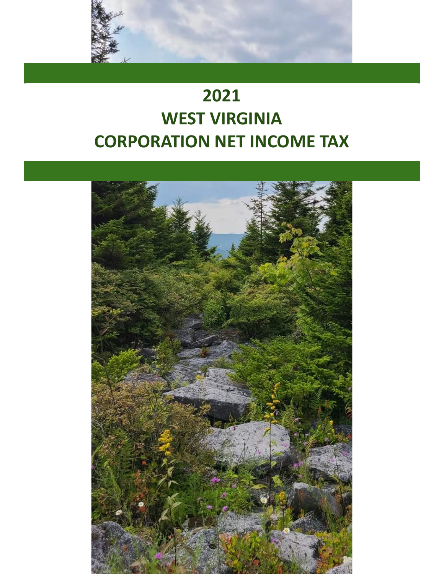

# **2021 WEST VIRGINIA CORPORATION NET INCOME TAX**

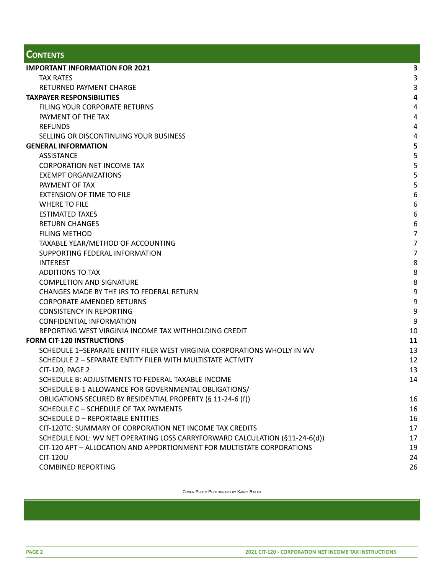# **CONTENTS**

| <b>IMPORTANT INFORMATION FOR 2021</b>                                      | 3                |
|----------------------------------------------------------------------------|------------------|
| <b>TAX RATES</b>                                                           | 3                |
| RETURNED PAYMENT CHARGE                                                    | 3                |
| <b>TAXPAYER RESPONSIBILITIES</b>                                           | 4                |
| FILING YOUR CORPORATE RETURNS                                              | $\overline{4}$   |
| PAYMENT OF THE TAX                                                         | $\overline{4}$   |
| <b>REFUNDS</b>                                                             | $\overline{a}$   |
| SELLING OR DISCONTINUING YOUR BUSINESS                                     | $\overline{a}$   |
| <b>GENERAL INFORMATION</b>                                                 | 5                |
| <b>ASSISTANCE</b>                                                          | 5                |
| <b>CORPORATION NET INCOME TAX</b>                                          | 5                |
| <b>EXEMPT ORGANIZATIONS</b>                                                | 5                |
| PAYMENT OF TAX                                                             | 5                |
| <b>EXTENSION OF TIME TO FILE</b>                                           | $\,6\,$          |
| <b>WHERE TO FILE</b>                                                       | $\boldsymbol{6}$ |
| <b>ESTIMATED TAXES</b>                                                     | 6                |
| <b>RETURN CHANGES</b>                                                      | $6\,$            |
| <b>FILING METHOD</b>                                                       | $\overline{7}$   |
| TAXABLE YEAR/METHOD OF ACCOUNTING                                          | $\overline{7}$   |
| SUPPORTING FEDERAL INFORMATION                                             | $\overline{7}$   |
| <b>INTEREST</b>                                                            | 8                |
| <b>ADDITIONS TO TAX</b>                                                    | $\bf 8$          |
| <b>COMPLETION AND SIGNATURE</b>                                            | $\,8\,$          |
| CHANGES MADE BY THE IRS TO FEDERAL RETURN                                  | 9                |
| <b>CORPORATE AMENDED RETURNS</b>                                           | 9                |
| <b>CONSISTENCY IN REPORTING</b>                                            | $9\,$            |
| <b>CONFIDENTIAL INFORMATION</b>                                            | 9                |
| REPORTING WEST VIRGINIA INCOME TAX WITHHOLDING CREDIT                      | 10               |
| <b>FORM CIT-120 INSTRUCTIONS</b>                                           | 11               |
| SCHEDULE 1–SEPARATE ENTITY FILER WEST VIRGINIA CORPORATIONS WHOLLY IN WV   | 13               |
| SCHEDULE 2 - SEPARATE ENTITY FILER WITH MULTISTATE ACTIVITY                | 12               |
| CIT-120, PAGE 2                                                            | 13               |
| SCHEDULE B: ADJUSTMENTS TO FEDERAL TAXABLE INCOME                          | 14               |
| SCHEDULE B-1 ALLOWANCE FOR GOVERNMENTAL OBLIGATIONS/                       |                  |
| OBLIGATIONS SECURED BY RESIDENTIAL PROPERTY (§ 11-24-6 (f))                | 16               |
| SCHEDULE C - SCHEDULE OF TAX PAYMENTS                                      | 16               |
| <b>SCHEDULE D - REPORTABLE ENTITIES</b>                                    | 16               |
| CIT-120TC: SUMMARY OF CORPORATION NET INCOME TAX CREDITS                   | 17               |
| SCHEDULE NOL: WV NET OPERATING LOSS CARRYFORWARD CALCULATION (§11-24-6(d)) | 17               |
| CIT-120 APT - ALLOCATION AND APPORTIONMENT FOR MULTISTATE CORPORATIONS     | 19               |
| CIT-120U                                                                   | 24               |
| <b>COMBINED REPORTING</b>                                                  | 26               |

COVER PHOTO PHOTOGRAPH BY KASEY BAILES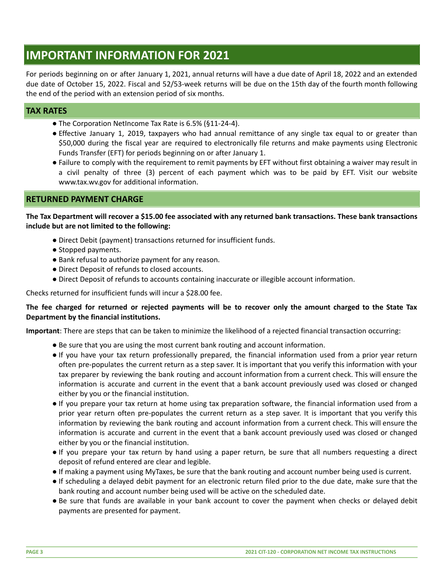# <span id="page-2-0"></span>**IMPORTANT INFORMATION FOR 2021**

For periods beginning on or after January 1, 2021, annual returns will have a due date of April 18, 2022 and an extended due date of October 15, 2022. Fiscal and 52/53-week returns will be due on the 15th day of the fourth month following the end of the period with an extension period of six months.

# <span id="page-2-1"></span>**TAX RATES**

- The Corporation NetIncome Tax Rate is 6.5% (§11-24-4).
- Effective January 1, 2019, taxpayers who had annual remittance of any single tax equal to or greater than \$50,000 during the fiscal year are required to electronically file returns and make payments using Electronic Funds Transfer (EFT) for periods beginning on or after January 1.
- Failure to comply with the requirement to remit payments by EFT without first obtaining a waiver may result in a civil penalty of three (3) percent of each payment which was to be paid by EFT. Visit our website www.tax.wv.gov for additional information.

# <span id="page-2-2"></span>**RETURNED PAYMENT CHARGE**

The Tax Department will recover a \$15.00 fee associated with any returned bank transactions. These bank transactions **include but are not limited to the following:**

- Direct Debit (payment) transactions returned for insufficient funds.
- Stopped payments.
- Bank refusal to authorize payment for any reason.
- Direct Deposit of refunds to closed accounts.
- Direct Deposit of refunds to accounts containing inaccurate or illegible account information.

Checks returned for insufficient funds will incur a \$28.00 fee.

## The fee charged for returned or rejected payments will be to recover only the amount charged to the State Tax **Department by the financial institutions.**

**Important**: There are steps that can be taken to minimize the likelihood of a rejected financial transaction occurring:

- Be sure that you are using the most current bank routing and account information.
- If you have your tax return professionally prepared, the financial information used from a prior year return often pre-populates the current return as a step saver. It is important that you verify this information with your tax preparer by reviewing the bank routing and account information from a current check. This will ensure the information is accurate and current in the event that a bank account previously used was closed or changed either by you or the financial institution.
- If you prepare your tax return at home using tax preparation software, the financial information used from a prior year return often pre-populates the current return as a step saver. It is important that you verify this information by reviewing the bank routing and account information from a current check. This will ensure the information is accurate and current in the event that a bank account previously used was closed or changed either by you or the financial institution.
- If you prepare your tax return by hand using a paper return, be sure that all numbers requesting a direct deposit of refund entered are clear and legible.
- If making a payment using MyTaxes, be sure that the bank routing and account number being used is current.
- If scheduling a delayed debit payment for an electronic return filed prior to the due date, make sure that the bank routing and account number being used will be active on the scheduled date.
- Be sure that funds are available in your bank account to cover the payment when checks or delayed debit payments are presented for payment.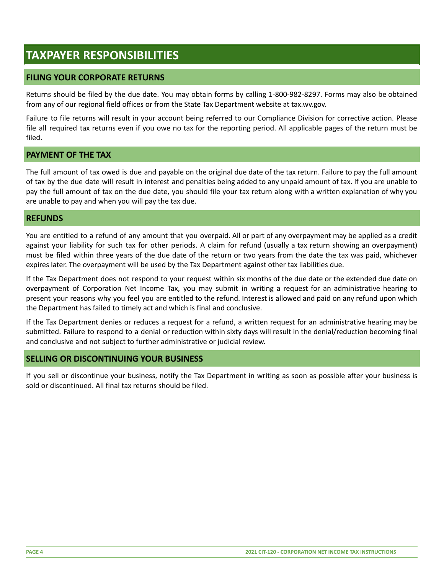# <span id="page-3-0"></span>**TAXPAYER RESPONSIBILITIES**

# <span id="page-3-1"></span>**FILING YOUR CORPORATE RETURNS**

Returns should be filed by the due date. You may obtain forms by calling 1-800-982-8297. Forms may also be obtained from any of our regional field offices or from the State Tax Department website at tax.wv.gov.

Failure to file returns will result in your account being referred to our Compliance Division for corrective action. Please file all required tax returns even if you owe no tax for the reporting period. All applicable pages of the return must be filed.

# <span id="page-3-2"></span>**PAYMENT OF THE TAX**

The full amount of tax owed is due and payable on the original due date of the tax return. Failure to pay the full amount of tax by the due date will result in interest and penalties being added to any unpaid amount of tax. If you are unable to pay the full amount of tax on the due date, you should file your tax return along with a written explanation of why you are unable to pay and when you will pay the tax due.

#### <span id="page-3-3"></span>**REFUNDS**

You are entitled to a refund of any amount that you overpaid. All or part of any overpayment may be applied as a credit against your liability for such tax for other periods. A claim for refund (usually a tax return showing an overpayment) must be filed within three years of the due date of the return or two years from the date the tax was paid, whichever expires later. The overpayment will be used by the Tax Department against other tax liabilities due.

If the Tax Department does not respond to your request within six months of the due date or the extended due date on overpayment of Corporation Net Income Tax, you may submit in writing a request for an administrative hearing to present your reasons why you feel you are entitled to the refund. Interest is allowed and paid on any refund upon which the Department has failed to timely act and which is final and conclusive.

If the Tax Department denies or reduces a request for a refund, a written request for an administrative hearing may be submitted. Failure to respond to a denial or reduction within sixty days will result in the denial/reduction becoming final and conclusive and not subject to further administrative or judicial review.

# <span id="page-3-4"></span>**SELLING OR DISCONTINUING YOUR BUSINESS**

If you sell or discontinue your business, notify the Tax Department in writing as soon as possible after your business is sold or discontinued. All final tax returns should be filed.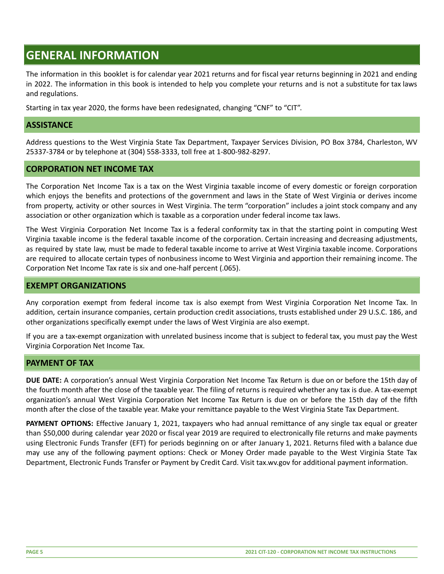# <span id="page-4-0"></span>**GENERAL INFORMATION**

The information in this booklet is for calendar year 2021 returns and for fiscal year returns beginning in 2021 and ending in 2022. The information in this book is intended to help you complete your returns and is not a substitute for tax laws and regulations.

<span id="page-4-1"></span>Starting in tax year 2020, the forms have been redesignated, changing "CNF" to "CIT".

#### **ASSISTANCE**

Address questions to the West Virginia State Tax Department, Taxpayer Services Division, PO Box 3784, Charleston, WV 25337-3784 or by telephone at (304) 558-3333, toll free at 1-800-982-8297.

## <span id="page-4-2"></span>**CORPORATION NET INCOME TAX**

The Corporation Net Income Tax is a tax on the West Virginia taxable income of every domestic or foreign corporation which enjoys the benefits and protections of the government and laws in the State of West Virginia or derives income from property, activity or other sources in West Virginia. The term "corporation" includes a joint stock company and any association or other organization which is taxable as a corporation under federal income tax laws.

The West Virginia Corporation Net Income Tax is a federal conformity tax in that the starting point in computing West Virginia taxable income is the federal taxable income of the corporation. Certain increasing and decreasing adjustments, as required by state law, must be made to federal taxable income to arrive at West Virginia taxable income. Corporations are required to allocate certain types of nonbusiness income to West Virginia and apportion their remaining income. The Corporation Net Income Tax rate is six and one-half percent (.065).

## <span id="page-4-3"></span>**EXEMPT ORGANIZATIONS**

Any corporation exempt from federal income tax is also exempt from West Virginia Corporation Net Income Tax. In addition, certain insurance companies, certain production credit associations, trusts established under 29 U.S.C. 186, and other organizations specifically exempt under the laws of West Virginia are also exempt.

If you are a tax-exempt organization with unrelated business income that is subject to federal tax, you must pay the West Virginia Corporation Net Income Tax.

#### <span id="page-4-4"></span>**PAYMENT OF TAX**

**DUE DATE:** A corporation's annual West Virginia Corporation Net Income Tax Return is due on or before the 15th day of the fourth month after the close of the taxable year. The filing of returns is required whether any tax is due. A tax-exempt organization's annual West Virginia Corporation Net Income Tax Return is due on or before the 15th day of the fifth month after the close of the taxable year. Make your remittance payable to the West Virginia State Tax Department.

**PAYMENT OPTIONS:** Effective January 1, 2021, taxpayers who had annual remittance of any single tax equal or greater than \$50,000 during calendar year 2020 or fiscal year 2019 are required to electronically file returns and make payments using Electronic Funds Transfer (EFT) for periods beginning on or after January 1, 2021. Returns filed with a balance due may use any of the following payment options: Check or Money Order made payable to the West Virginia State Tax Department, Electronic Funds Transfer or Payment by Credit Card. Visit tax.wv.gov for additional payment information.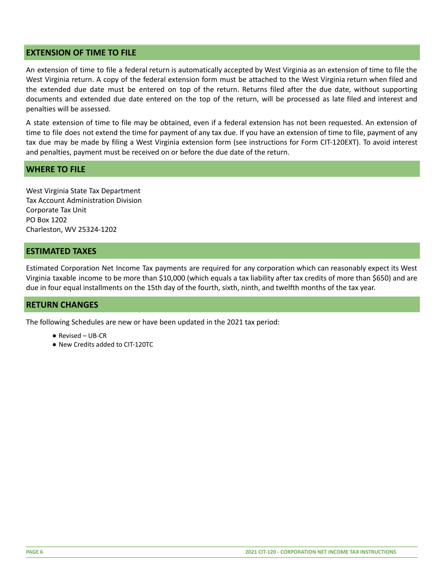## <span id="page-5-0"></span>**EXTENSION OF TIME TO FILE**

An extension of time to file a federal return is automatically accepted by West Virginia as an extension of time to file the West Virginia return. A copy of the federal extension form must be attached to the West Virginia return when filed and the extended due date must be entered on top of the return. Returns filed after the due date, without supporting documents and extended due date entered on the top of the return, will be processed as late filed and interest and penalties will be assessed.

A state extension of time to file may be obtained, even if a federal extension has not been requested. An extension of time to file does not extend the time for payment of any tax due. If you have an extension of time to file, payment of any tax due may be made by filing a West Virginia extension form (see instructions for Form CIT-120EXT). To avoid interest and penalties, payment must be received on or before the due date of the return.

## <span id="page-5-1"></span>**WHERE TO FILE**

West Virginia State Tax Department Tax Account Administration Division Corporate Tax Unit PO Box 1202 Charleston, WV 25324-1202

## <span id="page-5-2"></span>**ESTIMATED TAXES**

Estimated Corporation Net Income Tax payments are required for any corporation which can reasonably expect its West Virginia taxable income to be more than \$10,000 (which equals a tax liability after tax credits of more than \$650) and are due in four equal installments on the 15th day of the fourth, sixth, ninth, and twelfth months of the tax year.

# <span id="page-5-3"></span>**RETURN CHANGES**

The following Schedules are new or have been updated in the 2021 tax period:

- $\bullet$  Revised UB-CR
- New Credits added to CIT-120TC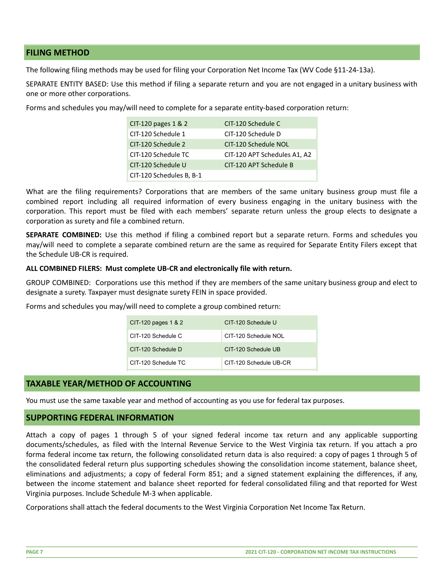# <span id="page-6-0"></span>**FILING METHOD**

The following filing methods may be used for filing your Corporation Net Income Tax (WV Code §11-24-13a).

SEPARATE ENTITY BASED: Use this method if filing a separate return and you are not engaged in a unitary business with one or more other corporations.

Forms and schedules you may/will need to complete for a separate entity-based corporation return:

| $CIT-120$ pages $1 & 2$  | CIT-120 Schedule C           |
|--------------------------|------------------------------|
| CIT-120 Schedule 1       | CIT-120 Schedule D           |
| CIT-120 Schedule 2       | CIT-120 Schedule NOL         |
| CIT-120 Schedule TC      | CIT-120 APT Schedules A1, A2 |
| CIT-120 Schedule U       | CIT-120 APT Schedule B       |
| CIT-120 Schedules B, B-1 |                              |

What are the filing requirements? Corporations that are members of the same unitary business group must file a combined report including all required information of every business engaging in the unitary business with the corporation. This report must be filed with each members' separate return unless the group elects to designate a corporation as surety and file a combined return.

**SEPARATE COMBINED:** Use this method if filing a combined report but a separate return. Forms and schedules you may/will need to complete a separate combined return are the same as required for Separate Entity Filers except that the Schedule UB-CR is required.

#### **ALL COMBINED FILERS: Must complete UB-CR and electronically file with return.**

GROUP COMBINED: Corporations use this method if they are members of the same unitary business group and elect to designate a surety. Taxpayer must designate surety FEIN in space provided.

Forms and schedules you may/will need to complete a group combined return:

| CIT-120 pages $1 & 2$ | CIT-120 Schedule U     |
|-----------------------|------------------------|
| CIT-120 Schedule C    | CIT-120 Schedule NOL   |
| CIT-120 Schedule D    | CIT-120 Schedule UB    |
| CIT-120 Schedule TC   | CIT-120 Schedule UB-CR |

# <span id="page-6-1"></span>**TAXABLE YEAR/METHOD OF ACCOUNTING**

You must use the same taxable year and method of accounting as you use for federal tax purposes.

#### <span id="page-6-2"></span>**SUPPORTING FEDERAL INFORMATION**

Attach a copy of pages 1 through 5 of your signed federal income tax return and any applicable supporting documents/schedules, as filed with the Internal Revenue Service to the West Virginia tax return. If you attach a pro forma federal income tax return, the following consolidated return data is also required: a copy of pages 1 through 5 of the consolidated federal return plus supporting schedules showing the consolidation income statement, balance sheet, eliminations and adjustments; a copy of federal Form 851; and a signed statement explaining the differences, if any, between the income statement and balance sheet reported for federal consolidated filing and that reported for West Virginia purposes. Include Schedule M-3 when applicable.

Corporations shall attach the federal documents to the West Virginia Corporation Net Income Tax Return.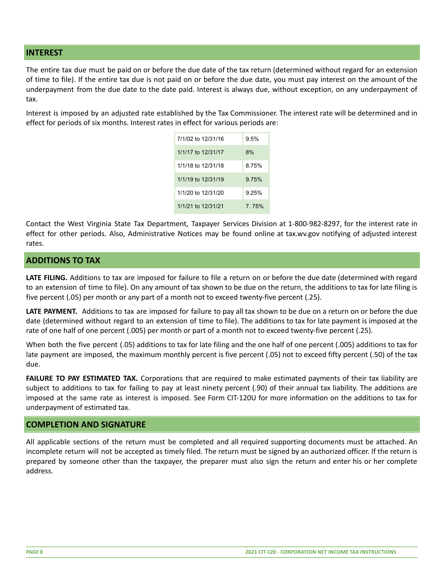# <span id="page-7-0"></span>**INTEREST**

The entire tax due must be paid on or before the due date of the tax return (determined without regard for an extension of time to file). If the entire tax due is not paid on or before the due date, you must pay interest on the amount of the underpayment from the due date to the date paid. Interest is always due, without exception, on any underpayment of tax.

Interest is imposed by an adjusted rate established by the Tax Commissioner. The interest rate will be determined and in effect for periods of six months. Interest rates in effect for various periods are:

| 7/1/02 to 12/31/16 | $9.5\%$ |
|--------------------|---------|
| 1/1/17 to 12/31/17 | 8%      |
| 1/1/18 to 12/31/18 | 8.75%   |
| 1/1/19 to 12/31/19 | 9.75%   |
| 1/1/20 to 12/31/20 | 9.25%   |
| 1/1/21 to 12/31/21 | 7 75%   |

Contact the West Virginia State Tax Department, Taxpayer Services Division at 1-800-982-8297, for the interest rate in effect for other periods. Also, Administrative Notices may be found online at tax.wv.gov notifying of adjusted interest rates.

## <span id="page-7-1"></span>**ADDITIONS TO TAX**

**LATE FILING.** Additions to tax are imposed for failure to file a return on or before the due date (determined with regard to an extension of time to file). On any amount of tax shown to be due on the return, the additions to tax for late filing is five percent (.05) per month or any part of a month not to exceed twenty-five percent (.25).

**LATE PAYMENT.** Additions to tax are imposed for failure to pay all tax shown to be due on a return on or before the due date (determined without regard to an extension of time to file). The additions to tax for late payment is imposed at the rate of one half of one percent (.005) per month or part of a month not to exceed twenty-five percent (.25).

When both the five percent (.05) additions to tax for late filing and the one half of one percent (.005) additions to tax for late payment are imposed, the maximum monthly percent is five percent (.05) not to exceed fifty percent (.50) of the tax due.

**FAILURE TO PAY ESTIMATED TAX.** Corporations that are required to make estimated payments of their tax liability are subject to additions to tax for failing to pay at least ninety percent (.90) of their annual tax liability. The additions are imposed at the same rate as interest is imposed. See Form CIT-120U for more information on the additions to tax for underpayment of estimated tax.

#### <span id="page-7-2"></span>**COMPLETION AND SIGNATURE**

All applicable sections of the return must be completed and all required supporting documents must be attached. An incomplete return will not be accepted as timely filed. The return must be signed by an authorized officer. If the return is prepared by someone other than the taxpayer, the preparer must also sign the return and enter his or her complete address.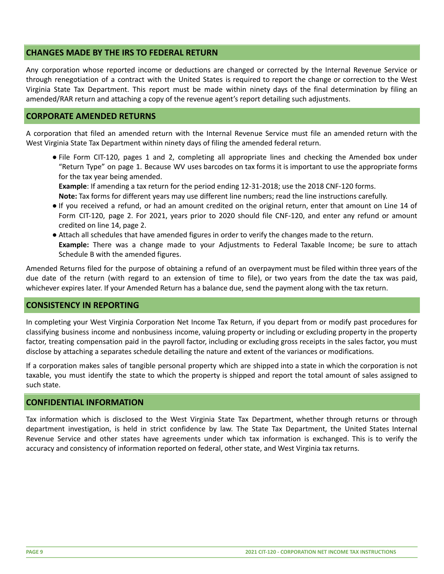# <span id="page-8-0"></span>**CHANGES MADE BY THE IRS TO FEDERAL RETURN**

Any corporation whose reported income or deductions are changed or corrected by the Internal Revenue Service or through renegotiation of a contract with the United States is required to report the change or correction to the West Virginia State Tax Department. This report must be made within ninety days of the final determination by filing an amended/RAR return and attaching a copy of the revenue agent's report detailing such adjustments.

# <span id="page-8-1"></span>**CORPORATE AMENDED RETURNS**

A corporation that filed an amended return with the Internal Revenue Service must file an amended return with the West Virginia State Tax Department within ninety days of filing the amended federal return.

● File Form CIT-120, pages 1 and 2, completing all appropriate lines and checking the Amended box under "Return Type" on page 1. Because WV uses barcodes on tax forms it is important to use the appropriate forms for the tax year being amended.

**Example**: If amending a tax return for the period ending 12-31-2018; use the 2018 CNF-120 forms. **Note:** Tax forms for different years may use different line numbers; read the line instructions carefully.

- If you received a refund, or had an amount credited on the original return, enter that amount on Line 14 of Form CIT-120, page 2. For 2021, years prior to 2020 should file CNF-120, and enter any refund or amount credited on line 14, page 2.
- Attach all schedules that have amended figures in order to verify the changes made to the return. **Example:** There was a change made to your Adjustments to Federal Taxable Income; be sure to attach Schedule B with the amended figures.

Amended Returns filed for the purpose of obtaining a refund of an overpayment must be filed within three years of the due date of the return (with regard to an extension of time to file), or two years from the date the tax was paid, whichever expires later. If your Amended Return has a balance due, send the payment along with the tax return.

#### <span id="page-8-2"></span>**CONSISTENCY IN REPORTING**

In completing your West Virginia Corporation Net Income Tax Return, if you depart from or modify past procedures for classifying business income and nonbusiness income, valuing property or including or excluding property in the property factor, treating compensation paid in the payroll factor, including or excluding gross receipts in the sales factor, you must disclose by attaching a separates schedule detailing the nature and extent of the variances or modifications.

If a corporation makes sales of tangible personal property which are shipped into a state in which the corporation is not taxable, you must identify the state to which the property is shipped and report the total amount of sales assigned to such state.

# <span id="page-8-3"></span>**CONFIDENTIAL INFORMATION**

Tax information which is disclosed to the West Virginia State Tax Department, whether through returns or through department investigation, is held in strict confidence by law. The State Tax Department, the United States Internal Revenue Service and other states have agreements under which tax information is exchanged. This is to verify the accuracy and consistency of information reported on federal, other state, and West Virginia tax returns.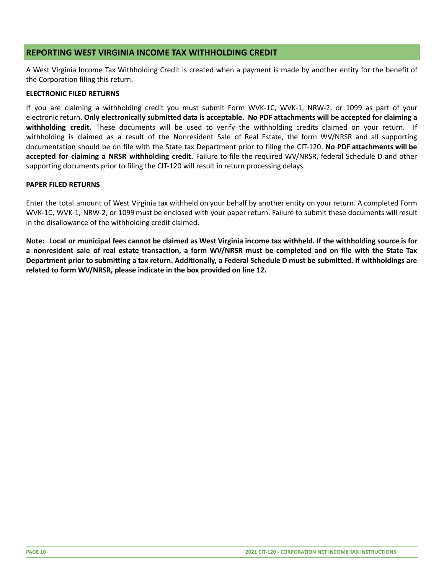# <span id="page-9-0"></span>**REPORTING WEST VIRGINIA INCOME TAX WITHHOLDING CREDIT**

A West Virginia Income Tax Withholding Credit is created when a payment is made by another entity for the benefit of the Corporation filing this return.

#### **ELECTRONIC FILED RETURNS**

If you are claiming a withholding credit you must submit Form WVK-1C, WVK-1, NRW-2, or 1099 as part of your electronic return. **Only electronically submitted data is acceptable. No PDF attachments will be accepted for claiming a withholding credit.** These documents will be used to verify the withholding credits claimed on your return. If withholding is claimed as a result of the Nonresident Sale of Real Estate, the form WV/NRSR and all supporting documentation should be on file with the State tax Department prior to filing the CIT-120. **No PDF attachments will be accepted for claiming a NRSR withholding credit.** Failure to file the required WV/NRSR, federal Schedule D and other supporting documents prior to filing the CIT-120 will result in return processing delays.

#### **PAPER FILED RETURNS**

Enter the total amount of West Virginia tax withheld on your behalf by another entity on your return. A completed Form WVK-1C, WVK-1, NRW-2, or 1099 must be enclosed with your paper return. Failure to submit these documents will result in the disallowance of the withholding credit claimed.

Note: Local or municipal fees cannot be claimed as West Virginia income tax withheld. If the withholding source is for a nonresident sale of real estate transaction, a form WV/NRSR must be completed and on file with the State Tax Department prior to submitting a tax return. Additionally, a Federal Schedule D must be submitted. If withholdings are **related to form WV/NRSR, please indicate in the box provided on line 12.**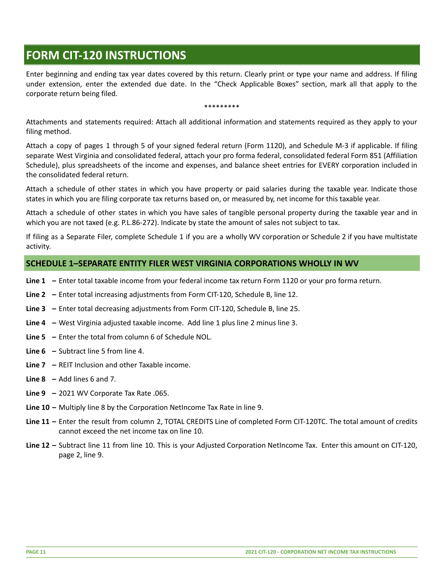# <span id="page-10-0"></span>**FORM CIT-120 INSTRUCTIONS**

Enter beginning and ending tax year dates covered by this return. Clearly print or type your name and address. If filing under extension, enter the extended due date. In the "Check Applicable Boxes" section, mark all that apply to the corporate return being filed.

#### \*\*\*\*\*\*\*\*\*

Attachments and statements required: Attach all additional information and statements required as they apply to your filing method.

Attach a copy of pages 1 through 5 of your signed federal return (Form 1120), and Schedule M-3 if applicable. If filing separate West Virginia and consolidated federal, attach your pro forma federal, consolidated federal Form 851 (Affiliation Schedule), plus spreadsheets of the income and expenses, and balance sheet entries for EVERY corporation included in the consolidated federal return.

Attach a schedule of other states in which you have property or paid salaries during the taxable year. Indicate those states in which you are filing corporate tax returns based on, or measured by, net income for this taxable year.

Attach a schedule of other states in which you have sales of tangible personal property during the taxable year and in which you are not taxed (e.g. P.L.86-272). Indicate by state the amount of sales not subject to tax.

If filing as a Separate Filer, complete Schedule 1 if you are a wholly WV corporation or Schedule 2 if you have multistate activity.

# <span id="page-10-1"></span>**SCHEDULE 1–SEPARATE ENTITY FILER WEST VIRGINIA CORPORATIONS WHOLLY IN WV**

- **Line 1 –** Enter total taxable income from your federal income tax return Form 1120 or your pro forma return.
- **Line 2 –** Enter total increasing adjustments from Form CIT-120, Schedule B, line 12.
- **Line 3 –** Enter total decreasing adjustments from Form CIT-120, Schedule B, line 25.
- **Line 4 –** West Virginia adjusted taxable income. Add line 1 plus line 2 minus line 3.
- **Line 5 –** Enter the total from column 6 of Schedule NOL.
- **Line 6 –** Subtract line 5 from line 4.
- **Line 7 –** REIT Inclusion and other Taxable income.
- **Line 8 –** Add lines 6 and 7.
- **Line 9 –** 2021 WV Corporate Tax Rate .065.
- **Line 10 –** Multiply line 8 by the Corporation NetIncome Tax Rate in line 9.
- **Line 11 –** Enter the result from column 2, TOTAL CREDITS Line of completed Form CIT-120TC. The total amount of credits cannot exceed the net income tax on line 10.
- **Line 12 –** Subtract line 11 from line 10. This is your Adjusted Corporation NetIncome Tax. Enter this amount on CIT-120, page 2, line 9.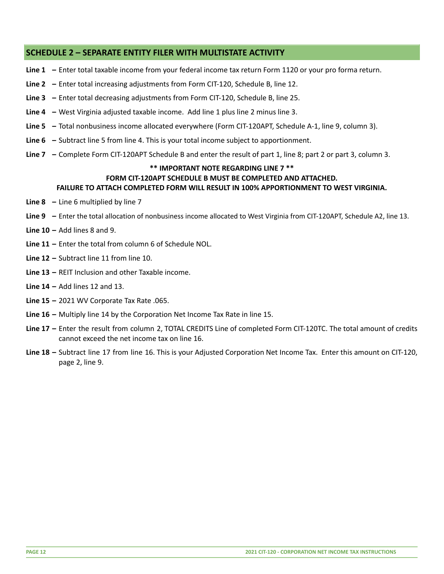# <span id="page-11-0"></span>**SCHEDULE 2 – SEPARATE ENTITY FILER WITH MULTISTATE ACTIVITY**

- **Line 1 –** Enter total taxable income from your federal income tax return Form 1120 or your pro forma return.
- **Line 2 –** Enter total increasing adjustments from Form CIT-120, Schedule B, line 12.
- **Line 3 –** Enter total decreasing adjustments from Form CIT-120, Schedule B, line 25.
- **Line 4 –** West Virginia adjusted taxable income. Add line 1 plus line 2 minus line 3.
- **Line 5 –** Total nonbusiness income allocated everywhere (Form CIT-120APT, Schedule A-1, line 9, column 3).
- **Line 6 –** Subtract line 5 from line 4. This is your total income subject to apportionment.
- **Line 7 –** Complete Form CIT-120APT Schedule B and enter the result of part 1, line 8; part 2 or part 3, column 3.

#### **\*\* IMPORTANT NOTE REGARDING LINE 7 \*\* FORM CIT-120APT SCHEDULE B MUST BE COMPLETED AND ATTACHED. FAILURE TO ATTACH COMPLETED FORM WILL RESULT IN 100% APPORTIONMENT TO WEST VIRGINIA.**

- **Line 8 –** Line 6 multiplied by line 7
- **Line 9 –** Enter the total allocation of nonbusiness income allocated to West Virginia from CIT-120APT, Schedule A2, line 13.
- **Line 10 –** Add lines 8 and 9.
- **Line 11 –** Enter the total from column 6 of Schedule NOL.
- **Line 12 –** Subtract line 11 from line 10.
- **Line 13 –** REIT Inclusion and other Taxable income.
- **Line 14 –** Add lines 12 and 13.
- **Line 15 –** 2021 WV Corporate Tax Rate .065.
- **Line 16 –** Multiply line 14 by the Corporation Net Income Tax Rate in line 15.
- **Line 17 –** Enter the result from column 2, TOTAL CREDITS Line of completed Form CIT-120TC. The total amount of credits cannot exceed the net income tax on line 16.
- **Line 18 –** Subtract line 17 from line 16. This is your Adjusted Corporation Net Income Tax. Enter this amount on CIT-120, page 2, line 9.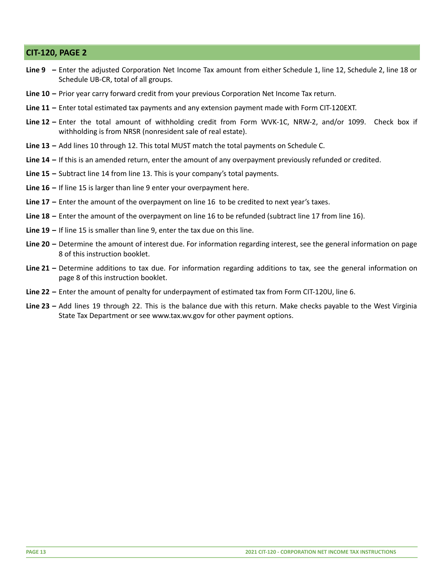# <span id="page-12-0"></span>**CIT-120, PAGE 2**

- **Line 9 –** Enter the adjusted Corporation Net Income Tax amount from either Schedule 1, line 12, Schedule 2, line 18 or Schedule UB-CR, total of all groups.
- **Line 10 –** Prior year carry forward credit from your previous Corporation Net Income Tax return.
- **Line 11 –** Enter total estimated tax payments and any extension payment made with Form CIT-120EXT.
- **Line 12 –** Enter the total amount of withholding credit from Form WVK-1C, NRW-2, and/or 1099. Check box if withholding is from NRSR (nonresident sale of real estate).
- **Line 13 –** Add lines 10 through 12. This total MUST match the total payments on Schedule C.
- **Line 14 –** If this is an amended return, enter the amount of any overpayment previously refunded or credited.
- **Line 15 –** Subtract line 14 from line 13. This is your company's total payments.
- **Line 16 –** If line 15 is larger than line 9 enter your overpayment here.
- **Line 17 –** Enter the amount of the overpayment on line 16 to be credited to next year's taxes.
- **Line 18 –** Enter the amount of the overpayment on line 16 to be refunded (subtract line 17 from line 16).
- **Line 19 –** If line 15 is smaller than line 9, enter the tax due on this line.
- **Line 20 –** Determine the amount of interest due. For information regarding interest, see the general information on page 8 of this instruction booklet.
- **Line 21 –** Determine additions to tax due. For information regarding additions to tax, see the general information on page 8 of this instruction booklet.
- **Line 22 –** Enter the amount of penalty for underpayment of estimated tax from Form CIT-120U, line 6.
- **Line 23 –** Add lines 19 through 22. This is the balance due with this return. Make checks payable to the West Virginia State Tax Department or see www.tax.wv.gov for other payment options.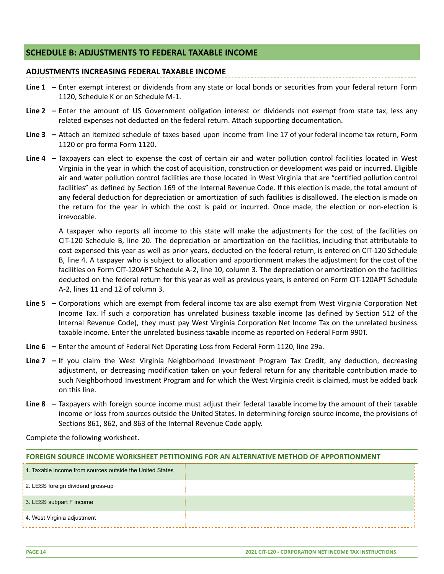# <span id="page-13-0"></span>**SCHEDULE B: ADJUSTMENTS TO FEDERAL TAXABLE INCOME**

# **ADJUSTMENTS INCREASING FEDERAL TAXABLE INCOME**

- **Line 1 –** Enter exempt interest or dividends from any state or local bonds or securities from your federal return Form 1120, Schedule K or on Schedule M-1.
- **Line 2 –** Enter the amount of US Government obligation interest or dividends not exempt from state tax, less any related expenses not deducted on the federal return. Attach supporting documentation.
- **Line 3 –** Attach an itemized schedule of taxes based upon income from line 17 of your federal income tax return, Form 1120 or pro forma Form 1120.
- **Line 4 –** Taxpayers can elect to expense the cost of certain air and water pollution control facilities located in West Virginia in the year in which the cost of acquisition, construction or development was paid or incurred. Eligible air and water pollution control facilities are those located in West Virginia that are "certified pollution control facilities" as defined by Section 169 of the Internal Revenue Code. If this election is made, the total amount of any federal deduction for depreciation or amortization of such facilities is disallowed. The election is made on the return for the year in which the cost is paid or incurred. Once made, the election or non-election is irrevocable.

A taxpayer who reports all income to this state will make the adjustments for the cost of the facilities on CIT-120 Schedule B, line 20. The depreciation or amortization on the facilities, including that attributable to cost expensed this year as well as prior years, deducted on the federal return, is entered on CIT-120 Schedule B, line 4. A taxpayer who is subject to allocation and apportionment makes the adjustment for the cost of the facilities on Form CIT-120APT Schedule A-2, line 10, column 3. The depreciation or amortization on the facilities deducted on the federal return for this year as well as previous years, is entered on Form CIT-120APT Schedule A-2, lines 11 and 12 of column 3.

- **Line 5 –** Corporations which are exempt from federal income tax are also exempt from West Virginia Corporation Net Income Tax. If such a corporation has unrelated business taxable income (as defined by Section 512 of the Internal Revenue Code), they must pay West Virginia Corporation Net Income Tax on the unrelated business taxable income. Enter the unrelated business taxable income as reported on Federal Form 990T.
- **Line 6 –** Enter the amount of Federal Net Operating Loss from Federal Form 1120, line 29a.
- **Line 7 – I**f you claim the West Virginia Neighborhood Investment Program Tax Credit, any deduction, decreasing adjustment, or decreasing modification taken on your federal return for any charitable contribution made to such Neighborhood Investment Program and for which the West Virginia credit is claimed, must be added back on this line.
- **Line 8 –** Taxpayers with foreign source income must adjust their federal taxable income by the amount of their taxable income or loss from sources outside the United States. In determining foreign source income, the provisions of Sections 861, 862, and 863 of the Internal Revenue Code apply.

Complete the following worksheet.

#### **FOREIGN SOURCE INCOME WORKSHEET PETITIONING FOR AN ALTERNATIVE METHOD OF APPORTIONMENT**

| 1. Taxable income from sources outside the United States |  |
|----------------------------------------------------------|--|
| 2. LESS foreign dividend gross-up                        |  |
| 3. LESS subpart F income                                 |  |
| 4. West Virginia adjustment                              |  |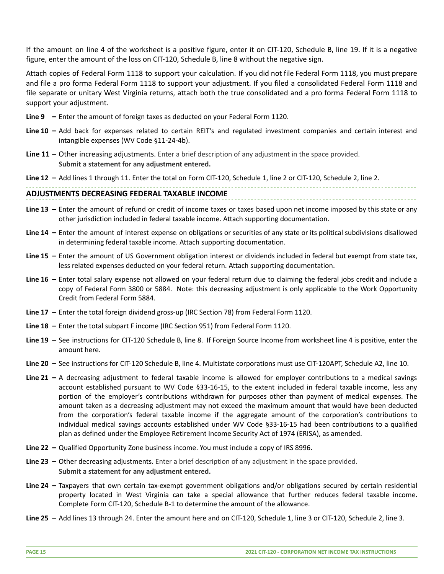If the amount on line 4 of the worksheet is a positive figure, enter it on CIT-120, Schedule B, line 19. If it is a negative figure, enter the amount of the loss on CIT-120, Schedule B, line 8 without the negative sign.

Attach copies of Federal Form 1118 to support your calculation. If you did not file Federal Form 1118, you must prepare and file a pro forma Federal Form 1118 to support your adjustment. If you filed a consolidated Federal Form 1118 and file separate or unitary West Virginia returns, attach both the true consolidated and a pro forma Federal Form 1118 to support your adjustment.

- **Line 9 –** Enter the amount of foreign taxes as deducted on your Federal Form 1120.
- **Line 10 –** Add back for expenses related to certain REIT's and regulated investment companies and certain interest and intangible expenses (WV Code §11-24-4b).
- **Line 11 –** Other increasing adjustments. Enter a brief description of any adjustment in the space provided. **Submit a statement for any adjustment entered.**

**Line 12 –** Add lines 1 through 11. Enter the total on Form CIT-120, Schedule 1, line 2 or CIT-120, Schedule 2, line 2.

#### **ADJUSTMENTS DECREASING FEDERAL TAXABLE INCOME**

- **Line 13 –** Enter the amount of refund or credit of income taxes or taxes based upon net income imposed by this state or any other jurisdiction included in federal taxable income. Attach supporting documentation.
- **Line 14 –** Enter the amount of interest expense on obligations or securities of any state or its political subdivisions disallowed in determining federal taxable income. Attach supporting documentation.
- **Line 15 –** Enter the amount of US Government obligation interest or dividends included in federal but exempt from state tax, less related expenses deducted on your federal return. Attach supporting documentation.
- **Line 16 –** Enter total salary expense not allowed on your federal return due to claiming the federal jobs credit and include a copy of Federal Form 3800 or 5884. Note: this decreasing adjustment is only applicable to the Work Opportunity Credit from Federal Form 5884.
- **Line 17 –** Enter the total foreign dividend gross-up (IRC Section 78) from Federal Form 1120.
- **Line 18 –** Enter the total subpart F income (IRC Section 951) from Federal Form 1120.
- **Line 19 –** See instructions for CIT-120 Schedule B, line 8. If Foreign Source Income from worksheet line 4 is positive, enter the amount here.
- **Line 20 –** See instructions for CIT-120 Schedule B, line 4. Multistate corporations must use CIT-120APT, Schedule A2, line 10.
- **Line 21 –** A decreasing adjustment to federal taxable income is allowed for employer contributions to a medical savings account established pursuant to WV Code §33-16-15, to the extent included in federal taxable income, less any portion of the employer's contributions withdrawn for purposes other than payment of medical expenses. The amount taken as a decreasing adjustment may not exceed the maximum amount that would have been deducted from the corporation's federal taxable income if the aggregate amount of the corporation's contributions to individual medical savings accounts established under WV Code §33-16-15 had been contributions to a qualified plan as defined under the Employee Retirement Income Security Act of 1974 (ERISA), as amended.
- **Line 22 –** Qualified Opportunity Zone business income. You must include a copy of IRS 8996.
- **Line 23 –** Other decreasing adjustments. Enter a brief description of any adjustment in the space provided. **Submit a statement for any adjustment entered.**
- **Line 24 –** Taxpayers that own certain tax-exempt government obligations and/or obligations secured by certain residential property located in West Virginia can take a special allowance that further reduces federal taxable income. Complete Form CIT-120, Schedule B-1 to determine the amount of the allowance.
- **Line 25 –** Add lines 13 through 24. Enter the amount here and on CIT-120, Schedule 1, line 3 or CIT-120, Schedule 2, line 3.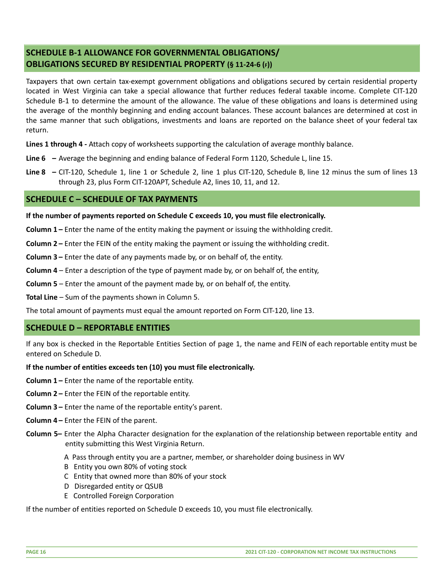# <span id="page-15-0"></span>**SCHEDULE B-1 ALLOWANCE FOR GOVERNMENTAL OBLIGATIONS/ OBLIGATIONS SECURED BY RESIDENTIAL PROPERTY (§ 11-24-6 (F))**

Taxpayers that own certain tax-exempt government obligations and obligations secured by certain residential property located in West Virginia can take a special allowance that further reduces federal taxable income. Complete CIT-120 Schedule B-1 to determine the amount of the allowance. The value of these obligations and loans is determined using the average of the monthly beginning and ending account balances. These account balances are determined at cost in the same manner that such obligations, investments and loans are reported on the balance sheet of your federal tax return.

**Lines 1 through 4 -** Attach copy of worksheets supporting the calculation of average monthly balance.

**Line 6 –** Average the beginning and ending balance of Federal Form 1120, Schedule L, line 15.

**Line 8 –** CIT-120, Schedule 1, line 1 or Schedule 2, line 1 plus CIT-120, Schedule B, line 12 minus the sum of lines 13 through 23, plus Form CIT-120APT, Schedule A2, lines 10, 11, and 12.

# <span id="page-15-1"></span>**SCHEDULE C – SCHEDULE OF TAX PAYMENTS**

**If the number of payments reported on Schedule C exceeds 10, you must file electronically.**

**Column 1 –** Enter the name of the entity making the payment or issuing the withholding credit.

**Column 2 –** Enter the FEIN of the entity making the payment or issuing the withholding credit.

**Column 3 –** Enter the date of any payments made by, or on behalf of, the entity.

**Column 4** – Enter a description of the type of payment made by, or on behalf of, the entity,

**Column 5** – Enter the amount of the payment made by, or on behalf of, the entity.

**Total Line** – Sum of the payments shown in Column 5.

The total amount of payments must equal the amount reported on Form CIT-120, line 13.

# <span id="page-15-2"></span>**SCHEDULE D – REPORTABLE ENTITIES**

If any box is checked in the Reportable Entities Section of page 1, the name and FEIN of each reportable entity must be entered on Schedule D.

#### **If the number of entities exceeds ten (10) you must file electronically.**

**Column 1 –** Enter the name of the reportable entity.

- **Column 2 –** Enter the FEIN of the reportable entity.
- **Column 3 –** Enter the name of the reportable entity's parent.
- **Column 4 –** Enter the FEIN of the parent.
- **Column 5–** Enter the Alpha Character designation for the explanation of the relationship between reportable entity and entity submitting this West Virginia Return.
	- A Pass through entity you are a partner, member, or shareholder doing business in WV
	- B Entity you own 80% of voting stock
	- C Entity that owned more than 80% of your stock
	- D Disregarded entity or QSUB
	- E Controlled Foreign Corporation

If the number of entities reported on Schedule D exceeds 10, you must file electronically.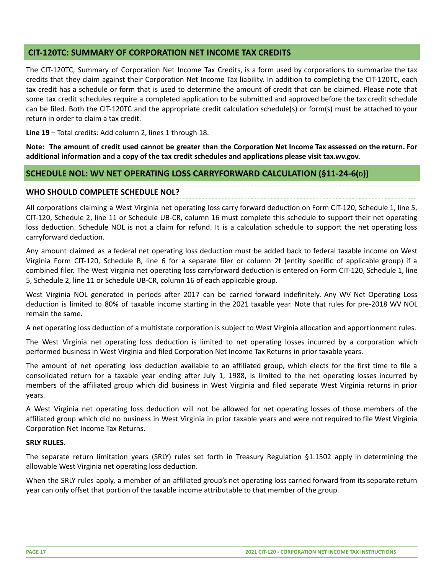# <span id="page-16-0"></span>**CIT-120TC: SUMMARY OF CORPORATION NET INCOME TAX CREDITS**

The CIT-120TC, Summary of Corporation Net Income Tax Credits, is a form used by corporations to summarize the tax credits that they claim against their Corporation Net Income Tax liability. In addition to completing the CIT-120TC, each tax credit has a schedule or form that is used to determine the amount of credit that can be claimed. Please note that some tax credit schedules require a completed application to be submitted and approved before the tax credit schedule can be filed. Both the CIT-120TC and the appropriate credit calculation schedule(s) or form(s) must be attached to your return in order to claim a tax credit.

**Line 19** – Total credits: Add column 2, lines 1 through 18.

Note: The amount of credit used cannot be greater than the Corporation Net Income Tax assessed on the return. For **additional information and a copy of the tax credit schedules and applications please visit tax.wv.gov.**

# <span id="page-16-1"></span>**SCHEDULE NOL: WV NET OPERATING LOSS CARRYFORWARD CALCULATION (§11-24-6(D))**

#### **WHO SHOULD COMPLETE SCHEDULE NOL?**

All corporations claiming a West Virginia net operating loss carry forward deduction on Form CIT-120, Schedule 1, line 5, CIT-120, Schedule 2, line 11 or Schedule UB-CR, column 16 must complete this schedule to support their net operating loss deduction. Schedule NOL is not a claim for refund. It is a calculation schedule to support the net operating loss carryforward deduction.

Any amount claimed as a federal net operating loss deduction must be added back to federal taxable income on West Virginia Form CIT-120, Schedule B, line 6 for a separate filer or column 2f (entity specific of applicable group) if a combined filer. The West Virginia net operating loss carryforward deduction is entered on Form CIT-120, Schedule 1, line 5, Schedule 2, line 11 or Schedule UB-CR, column 16 of each applicable group.

West Virginia NOL generated in periods after 2017 can be carried forward indefinitely. Any WV Net Operating Loss deduction is limited to 80% of taxable income starting in the 2021 taxable year. Note that rules for pre-2018 WV NOL remain the same.

A net operating loss deduction of a multistate corporation is subject to West Virginia allocation and apportionment rules.

The West Virginia net operating loss deduction is limited to net operating losses incurred by a corporation which performed business in West Virginia and filed Corporation Net Income Tax Returns in prior taxable years.

The amount of net operating loss deduction available to an affiliated group, which elects for the first time to file a consolidated return for a taxable year ending after July 1, 1988, is limited to the net operating losses incurred by members of the affiliated group which did business in West Virginia and filed separate West Virginia returns in prior years.

A West Virginia net operating loss deduction will not be allowed for net operating losses of those members of the affiliated group which did no business in West Virginia in prior taxable years and were not required to file West Virginia Corporation Net Income Tax Returns.

#### **SRLY RULES.**

The separate return limitation years (SRLY) rules set forth in Treasury Regulation §1.1502 apply in determining the allowable West Virginia net operating loss deduction.

When the SRLY rules apply, a member of an affiliated group's net operating loss carried forward from its separate return year can only offset that portion of the taxable income attributable to that member of the group.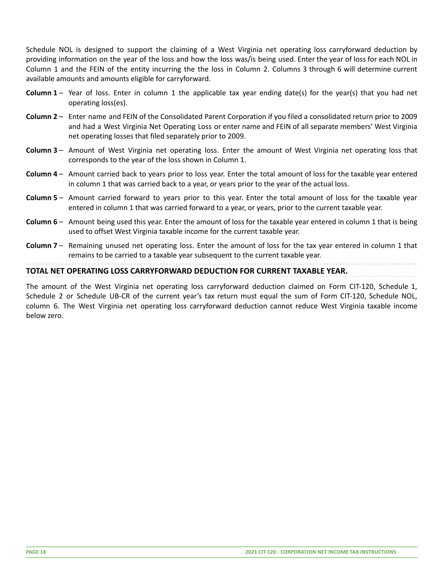Schedule NOL is designed to support the claiming of a West Virginia net operating loss carryforward deduction by providing information on the year of the loss and how the loss was/is being used. Enter the year of loss for each NOL in Column 1 and the FEIN of the entity incurring the the loss in Column 2. Columns 3 through 6 will determine current available amounts and amounts eligible for carryforward.

- **Column 1** Year of loss. Enter in column 1 the applicable tax year ending date(s) for the year(s) that you had net operating loss(es).
- **Column 2** Enter name and FEIN of the Consolidated Parent Corporation if you filed a consolidated return prior to 2009 and had a West Virginia Net Operating Loss or enter name and FEIN of all separate members' West Virginia net operating losses that filed separately prior to 2009.
- **Column 3** Amount of West Virginia net operating loss. Enter the amount of West Virginia net operating loss that corresponds to the year of the loss shown in Column 1.
- **Column 4** Amount carried back to years prior to loss year. Enter the total amount of loss for the taxable year entered in column 1 that was carried back to a year, or years prior to the year of the actual loss.
- **Column 5** Amount carried forward to years prior to this year. Enter the total amount of loss for the taxable year entered in column 1 that was carried forward to a year, or years, prior to the current taxable year.
- **Column 6** Amount being used this year. Enter the amount of loss for the taxable year entered in column 1 that is being used to offset West Virginia taxable income for the current taxable year.
- **Column 7** Remaining unused net operating loss. Enter the amount of loss for the tax year entered in column 1 that remains to be carried to a taxable year subsequent to the current taxable year.

## **TOTAL NET OPERATING LOSS CARRYFORWARD DEDUCTION FOR CURRENT TAXABLE YEAR.**

The amount of the West Virginia net operating loss carryforward deduction claimed on Form CIT-120, Schedule 1, Schedule 2 or Schedule UB-CR of the current year's tax return must equal the sum of Form CIT-120, Schedule NOL, column 6. The West Virginia net operating loss carryforward deduction cannot reduce West Virginia taxable income below zero.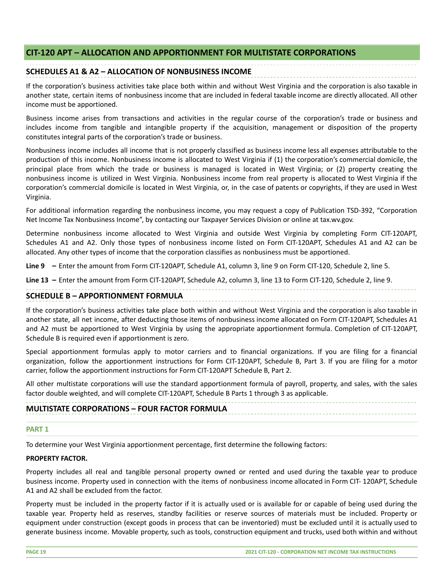# <span id="page-18-0"></span>**CIT-120 APT – ALLOCATION AND APPORTIONMENT FOR MULTISTATE CORPORATIONS**

# **SCHEDULES A1 & A2 – ALLOCATION OF NONBUSINESS INCOME**

If the corporation's business activities take place both within and without West Virginia and the corporation is also taxable in another state, certain items of nonbusiness income that are included in federal taxable income are directly allocated. All other income must be apportioned.

Business income arises from transactions and activities in the regular course of the corporation's trade or business and includes income from tangible and intangible property if the acquisition, management or disposition of the property constitutes integral parts of the corporation's trade or business.

Nonbusiness income includes all income that is not properly classified as business income less all expenses attributable to the production of this income. Nonbusiness income is allocated to West Virginia if (1) the corporation's commercial domicile, the principal place from which the trade or business is managed is located in West Virginia; or (2) property creating the nonbusiness income is utilized in West Virginia. Nonbusiness income from real property is allocated to West Virginia if the corporation's commercial domicile is located in West Virginia, or, in the case of patents or copyrights, if they are used in West Virginia.

For additional information regarding the nonbusiness income, you may request a copy of Publication TSD-392, "Corporation Net Income Tax Nonbusiness Income", by contacting our Taxpayer Services Division or online at tax.wv.gov.

Determine nonbusiness income allocated to West Virginia and outside West Virginia by completing Form CIT-120APT, Schedules A1 and A2. Only those types of nonbusiness income listed on Form CIT-120APT, Schedules A1 and A2 can be allocated. Any other types of income that the corporation classifies as nonbusiness must be apportioned.

**Line 9 –** Enter the amount from Form CIT-120APT, Schedule A1, column 3, line 9 on Form CIT-120, Schedule 2, line 5.

**Line 13 –** Enter the amount from Form CIT-120APT, Schedule A2, column 3, line 13 to Form CIT-120, Schedule 2, line 9.

#### **SCHEDULE B – APPORTIONMENT FORMULA**

If the corporation's business activities take place both within and without West Virginia and the corporation is also taxable in another state, all net income, after deducting those items of nonbusiness income allocated on Form CIT-120APT, Schedules A1 and A2 must be apportioned to West Virginia by using the appropriate apportionment formula. Completion of CIT-120APT, Schedule B is required even if apportionment is zero.

Special apportionment formulas apply to motor carriers and to financial organizations. If you are filing for a financial organization, follow the apportionment instructions for Form CIT-120APT, Schedule B, Part 3. If you are filing for a motor carrier, follow the apportionment instructions for Form CIT-120APT Schedule B, Part 2.

All other multistate corporations will use the standard apportionment formula of payroll, property, and sales, with the sales factor double weighted, and will complete CIT-120APT, Schedule B Parts 1 through 3 as applicable.

# **MULTISTATE CORPORATIONS – FOUR FACTOR FORMULA**

# **PART 1**

To determine your West Virginia apportionment percentage, first determine the following factors:

# **PROPERTY FACTOR.**

Property includes all real and tangible personal property owned or rented and used during the taxable year to produce business income. Property used in connection with the items of nonbusiness income allocated in Form CIT- 120APT, Schedule A1 and A2 shall be excluded from the factor.

Property must be included in the property factor if it is actually used or is available for or capable of being used during the taxable year. Property held as reserves, standby facilities or reserve sources of materials must be included. Property or equipment under construction (except goods in process that can be inventoried) must be excluded until it is actually used to generate business income. Movable property, such as tools, construction equipment and trucks, used both within and without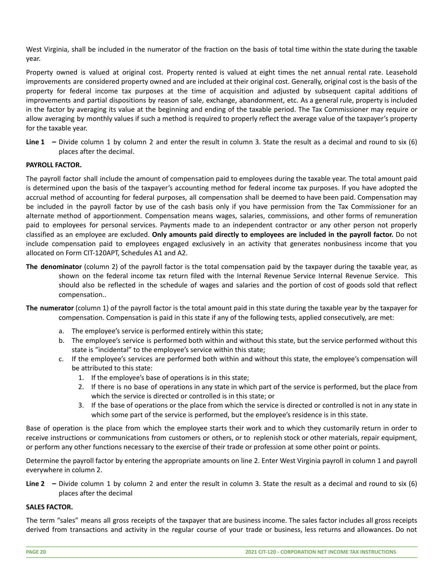West Virginia, shall be included in the numerator of the fraction on the basis of total time within the state during the taxable year.

Property owned is valued at original cost. Property rented is valued at eight times the net annual rental rate. Leasehold improvements are considered property owned and are included at their original cost. Generally, original cost is the basis of the property for federal income tax purposes at the time of acquisition and adjusted by subsequent capital additions of improvements and partial dispositions by reason of sale, exchange, abandonment, etc. As a general rule, property is included in the factor by averaging its value at the beginning and ending of the taxable period. The Tax Commissioner may require or allow averaging by monthly values if such a method is required to properly reflect the average value of the taxpayer's property for the taxable year.

**Line 1 –** Divide column 1 by column 2 and enter the result in column 3. State the result as a decimal and round to six (6) places after the decimal.

#### **PAYROLL FACTOR.**

The payroll factor shall include the amount of compensation paid to employees during the taxable year. The total amount paid is determined upon the basis of the taxpayer's accounting method for federal income tax purposes. If you have adopted the accrual method of accounting for federal purposes, all compensation shall be deemed to have been paid. Compensation may be included in the payroll factor by use of the cash basis only if you have permission from the Tax Commissioner for an alternate method of apportionment. Compensation means wages, salaries, commissions, and other forms of remuneration paid to employees for personal services. Payments made to an independent contractor or any other person not properly classified as an employee are excluded. **Only amounts paid directly to employees are included in the payroll factor.** Do not include compensation paid to employees engaged exclusively in an activity that generates nonbusiness income that you allocated on Form CIT-120APT, Schedules A1 and A2.

- **The denominator** (column 2) of the payroll factor is the total compensation paid by the taxpayer during the taxable year, as shown on the federal income tax return filed with the Internal Revenue Service Internal Revenue Service. This should also be reflected in the schedule of wages and salaries and the portion of cost of goods sold that reflect compensation..
- **The numerator** (column 1) of the payroll factor is the total amount paid in this state during the taxable year by the taxpayer for compensation. Compensation is paid in this state if any of the following tests, applied consecutively, are met:
	- a. The employee's service is performed entirely within this state;
	- b. The employee's service is performed both within and without this state, but the service performed without this state is "incidental" to the employee's service within this state;
	- c. If the employee's services are performed both within and without this state, the employee's compensation will be attributed to this state:
		- 1. If the employee's base of operations is in this state;
		- 2. If there is no base of operations in any state in which part of the service is performed, but the place from which the service is directed or controlled is in this state; or
		- 3. If the base of operations or the place from which the service is directed or controlled is not in any state in which some part of the service is performed, but the employee's residence is in this state.

Base of operation is the place from which the employee starts their work and to which they customarily return in order to receive instructions or communications from customers or others, or to replenish stock or other materials, repair equipment, or perform any other functions necessary to the exercise of their trade or profession at some other point or points.

Determine the payroll factor by entering the appropriate amounts on line 2. Enter West Virginia payroll in column 1 and payroll everywhere in column 2.

**Line 2 –** Divide column 1 by column 2 and enter the result in column 3. State the result as a decimal and round to six (6) places after the decimal

#### **SALES FACTOR.**

The term "sales" means all gross receipts of the taxpayer that are business income. The sales factor includes all gross receipts derived from transactions and activity in the regular course of your trade or business, less returns and allowances. Do not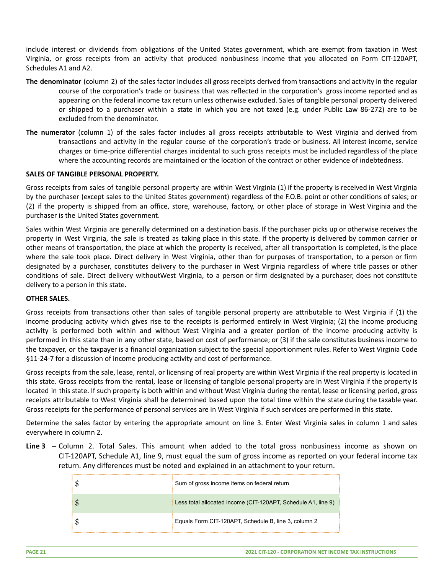include interest or dividends from obligations of the United States government, which are exempt from taxation in West Virginia, or gross receipts from an activity that produced nonbusiness income that you allocated on Form CIT-120APT, Schedules A1 and A2.

- **The denominator** (column 2) of the sales factor includes all gross receipts derived from transactions and activity in the regular course of the corporation's trade or business that was reflected in the corporation's gross income reported and as appearing on the federal income tax return unless otherwise excluded. Sales of tangible personal property delivered or shipped to a purchaser within a state in which you are not taxed (e.g. under Public Law 86-272) are to be excluded from the denominator.
- **The numerator** (column 1) of the sales factor includes all gross receipts attributable to West Virginia and derived from transactions and activity in the regular course of the corporation's trade or business. All interest income, service charges or time-price differential charges incidental to such gross receipts must be included regardless of the place where the accounting records are maintained or the location of the contract or other evidence of indebtedness.

#### **SALES OF TANGIBLE PERSONAL PROPERTY.**

Gross receipts from sales of tangible personal property are within West Virginia (1) if the property is received in West Virginia by the purchaser (except sales to the United States government) regardless of the F.O.B. point or other conditions of sales; or (2) if the property is shipped from an office, store, warehouse, factory, or other place of storage in West Virginia and the purchaser is the United States government.

Sales within West Virginia are generally determined on a destination basis. If the purchaser picks up or otherwise receives the property in West Virginia, the sale is treated as taking place in this state. If the property is delivered by common carrier or other means of transportation, the place at which the property is received, after all transportation is completed, is the place where the sale took place. Direct delivery in West Virginia, other than for purposes of transportation, to a person or firm designated by a purchaser, constitutes delivery to the purchaser in West Virginia regardless of where title passes or other conditions of sale. Direct delivery withoutWest Virginia, to a person or firm designated by a purchaser, does not constitute delivery to a person in this state.

#### **OTHER SALES.**

Gross receipts from transactions other than sales of tangible personal property are attributable to West Virginia if (1) the income producing activity which gives rise to the receipts is performed entirely in West Virginia; (2) the income producing activity is performed both within and without West Virginia and a greater portion of the income producing activity is performed in this state than in any other state, based on cost of performance; or (3) if the sale constitutes business income to the taxpayer, or the taxpayer is a financial organization subject to the special apportionment rules. Refer to West Virginia Code §11-24-7 for a discussion of income producing activity and cost of performance.

Gross receipts from the sale, lease, rental, or licensing of real property are within West Virginia if the real property is located in this state. Gross receipts from the rental, lease or licensing of tangible personal property are in West Virginia if the property is located in this state. If such property is both within and without West Virginia during the rental, lease or licensing period, gross receipts attributable to West Virginia shall be determined based upon the total time within the state during the taxable year. Gross receipts for the performance of personal services are in West Virginia if such services are performed in this state.

Determine the sales factor by entering the appropriate amount on line 3. Enter West Virginia sales in column 1 and sales everywhere in column 2.

**Line 3 –** Column 2. Total Sales. This amount when added to the total gross nonbusiness income as shown on CIT-120APT, Schedule A1, line 9, must equal the sum of gross income as reported on your federal income tax return. Any differences must be noted and explained in an attachment to your return.

| Sum of gross income items on federal return                   |
|---------------------------------------------------------------|
| Less total allocated income (CIT-120APT, Schedule A1, line 9) |
| Equals Form CIT-120APT, Schedule B, line 3, column 2          |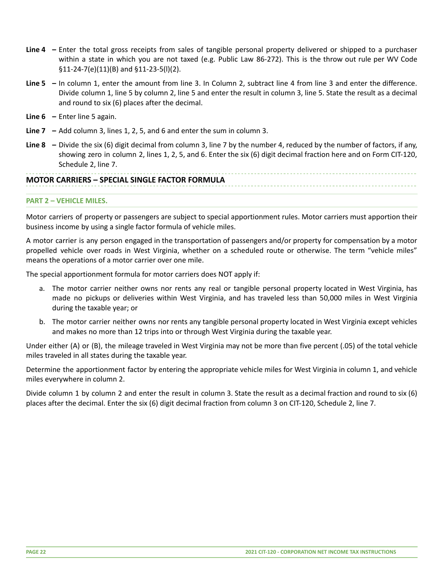- **Line 4 –** Enter the total gross receipts from sales of tangible personal property delivered or shipped to a purchaser within a state in which you are not taxed (e.g. Public Law 86-272). This is the throw out rule per WV Code §11-24-7(e)(11)(B) and §11-23-5(l)(2).
- **Line 5 –** In column 1, enter the amount from line 3. In Column 2, subtract line 4 from line 3 and enter the difference. Divide column 1, line 5 by column 2, line 5 and enter the result in column 3, line 5. State the result as a decimal and round to six (6) places after the decimal.
- **Line 6 –** Enter line 5 again.
- **Line 7 –** Add column 3, lines 1, 2, 5, and 6 and enter the sum in column 3.
- **Line 8 –** Divide the six (6) digit decimal from column 3, line 7 by the number 4, reduced by the number of factors, if any, showing zero in column 2, lines 1, 2, 5, and 6. Enter the six (6) digit decimal fraction here and on Form CIT-120, Schedule 2, line 7.

# **MOTOR CARRIERS – SPECIAL SINGLE FACTOR FORMULA**

#### **PART 2 – VEHICLE MILES.**

Motor carriers of property or passengers are subject to special apportionment rules. Motor carriers must apportion their business income by using a single factor formula of vehicle miles.

A motor carrier is any person engaged in the transportation of passengers and/or property for compensation by a motor propelled vehicle over roads in West Virginia, whether on a scheduled route or otherwise. The term "vehicle miles" means the operations of a motor carrier over one mile.

The special apportionment formula for motor carriers does NOT apply if:

- a. The motor carrier neither owns nor rents any real or tangible personal property located in West Virginia, has made no pickups or deliveries within West Virginia, and has traveled less than 50,000 miles in West Virginia during the taxable year; or
- b. The motor carrier neither owns nor rents any tangible personal property located in West Virginia except vehicles and makes no more than 12 trips into or through West Virginia during the taxable year.

Under either (A) or (B), the mileage traveled in West Virginia may not be more than five percent (.05) of the total vehicle miles traveled in all states during the taxable year.

Determine the apportionment factor by entering the appropriate vehicle miles for West Virginia in column 1, and vehicle miles everywhere in column 2.

Divide column 1 by column 2 and enter the result in column 3. State the result as a decimal fraction and round to six (6) places after the decimal. Enter the six (6) digit decimal fraction from column 3 on CIT-120, Schedule 2, line 7.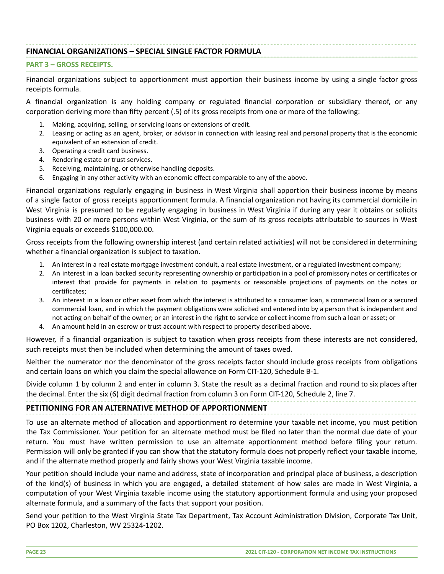# **FINANCIAL ORGANIZATIONS – SPECIAL SINGLE FACTOR FORMULA**

#### **PART 3 – GROSS RECEIPTS.**

Financial organizations subject to apportionment must apportion their business income by using a single factor gross receipts formula.

A financial organization is any holding company or regulated financial corporation or subsidiary thereof, or any corporation deriving more than fifty percent (.5) of its gross receipts from one or more of the following:

- Making, acquiring, selling, or servicing loans or extensions of credit.
- 2. Leasing or acting as an agent, broker, or advisor in connection with leasing real and personal property that is the economic equivalent of an extension of credit.
- 3. Operating a credit card business.
- 4. Rendering estate or trust services.
- 5. Receiving, maintaining, or otherwise handling deposits.
- 6. Engaging in any other activity with an economic effect comparable to any of the above.

Financial organizations regularly engaging in business in West Virginia shall apportion their business income by means of a single factor of gross receipts apportionment formula. A financial organization not having its commercial domicile in West Virginia is presumed to be regularly engaging in business in West Virginia if during any year it obtains or solicits business with 20 or more persons within West Virginia, or the sum of its gross receipts attributable to sources in West Virginia equals or exceeds \$100,000.00.

Gross receipts from the following ownership interest (and certain related activities) will not be considered in determining whether a financial organization is subject to taxation.

- 1. An interest in a real estate mortgage investment conduit, a real estate investment, or a regulated investment company;
- 2. An interest in a loan backed security representing ownership or participation in a pool of promissory notes or certificates or interest that provide for payments in relation to payments or reasonable projections of payments on the notes or certificates;
- 3. An interest in a loan or other asset from which the interest is attributed to a consumer loan, a commercial loan or a secured commercial loan, and in which the payment obligations were solicited and entered into by a person that is independent and not acting on behalf of the owner; or an interest in the right to service or collect income from such a loan or asset; or
- 4. An amount held in an escrow or trust account with respect to property described above.

However, if a financial organization is subject to taxation when gross receipts from these interests are not considered, such receipts must then be included when determining the amount of taxes owed.

Neither the numerator nor the denominator of the gross receipts factor should include gross receipts from obligations and certain loans on which you claim the special allowance on Form CIT-120, Schedule B-1.

Divide column 1 by column 2 and enter in column 3. State the result as a decimal fraction and round to six places after the decimal. Enter the six (6) digit decimal fraction from column 3 on Form CIT-120, Schedule 2, line 7.

# **PETITIONING FOR AN ALTERNATIVE METHOD OF APPORTIONMENT**

To use an alternate method of allocation and apportionment ro determine your taxable net income, you must petition the Tax Commissioner. Your petition for an alternate method must be filed no later than the normal due date of your return. You must have written permission to use an alternate apportionment method before filing your return. Permission will only be granted if you can show that the statutory formula does not properly reflect your taxable income, and if the alternate method properly and fairly shows your West Virginia taxable income.

Your petition should include your name and address, state of incorporation and principal place of business, a description of the kind(s) of business in which you are engaged, a detailed statement of how sales are made in West Virginia, a computation of your West Virginia taxable income using the statutory apportionment formula and using your proposed alternate formula, and a summary of the facts that support your position.

Send your petition to the West Virginia State Tax Department, Tax Account Administration Division, Corporate Tax Unit, PO Box 1202, Charleston, WV 25324-1202.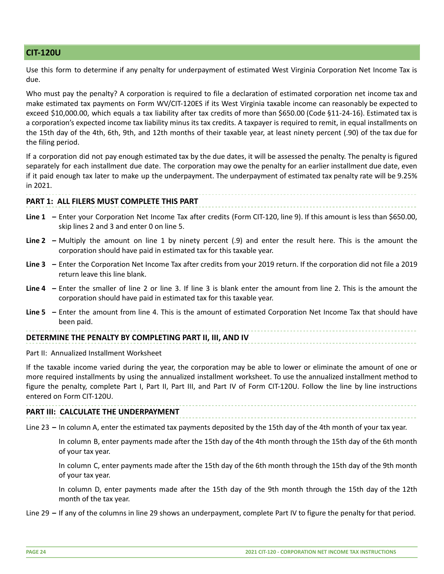# <span id="page-23-0"></span>**CIT-120U**

Use this form to determine if any penalty for underpayment of estimated West Virginia Corporation Net Income Tax is due.

Who must pay the penalty? A corporation is required to file a declaration of estimated corporation net income tax and make estimated tax payments on Form WV/CIT-120ES if its West Virginia taxable income can reasonably be expected to exceed \$10,000.00, which equals a tax liability after tax credits of more than \$650.00 (Code §11-24-16). Estimated tax is a corporation's expected income tax liability minus its tax credits. A taxpayer is required to remit, in equal installments on the 15th day of the 4th, 6th, 9th, and 12th months of their taxable year, at least ninety percent (.90) of the tax due for the filing period.

If a corporation did not pay enough estimated tax by the due dates, it will be assessed the penalty. The penalty is figured separately for each installment due date. The corporation may owe the penalty for an earlier installment due date, even if it paid enough tax later to make up the underpayment. The underpayment of estimated tax penalty rate will be 9.25% in 2021.

#### **PART 1: ALL FILERS MUST COMPLETE THIS PART**

- **Line 1 –** Enter your Corporation Net Income Tax after credits (Form CIT-120, line 9). If this amount is less than \$650.00, skip lines 2 and 3 and enter 0 on line 5.
- **Line 2 –** Multiply the amount on line 1 by ninety percent (.9) and enter the result here. This is the amount the corporation should have paid in estimated tax for this taxable year.
- **Line 3 –** Enter the Corporation Net Income Tax after credits from your 2019 return. If the corporation did not file a 2019 return leave this line blank.
- **Line 4 –** Enter the smaller of line 2 or line 3. If line 3 is blank enter the amount from line 2. This is the amount the corporation should have paid in estimated tax for this taxable year.
- **Line 5 –** Enter the amount from line 4. This is the amount of estimated Corporation Net Income Tax that should have been paid.

#### **DETERMINE THE PENALTY BY COMPLETING PART II, III, AND IV**

Part II: Annualized Installment Worksheet

If the taxable income varied during the year, the corporation may be able to lower or eliminate the amount of one or more required installments by using the annualized installment worksheet. To use the annualized installment method to figure the penalty, complete Part I, Part II, Part III, and Part IV of Form CIT-120U. Follow the line by line instructions entered on Form CIT-120U.

#### **PART III: CALCULATE THE UNDERPAYMENT**

Line 23 **–** In column A, enter the estimated tax payments deposited by the 15th day of the 4th month of your tax year.

In column B, enter payments made after the 15th day of the 4th month through the 15th day of the 6th month of your tax year.

In column C, enter payments made after the 15th day of the 6th month through the 15th day of the 9th month of your tax year.

In column D, enter payments made after the 15th day of the 9th month through the 15th day of the 12th month of the tax year.

Line 29 **–** If any of the columns in line 29 shows an underpayment, complete Part IV to figure the penalty for that period.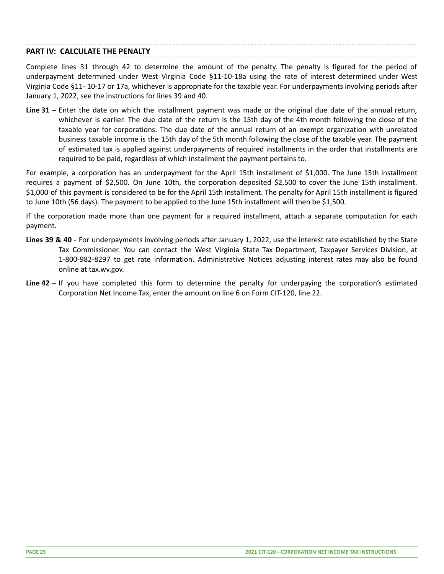# **PART IV: CALCULATE THE PENALTY**

Complete lines 31 through 42 to determine the amount of the penalty. The penalty is figured for the period of underpayment determined under West Virginia Code §11-10-18a using the rate of interest determined under West Virginia Code §11- 10-17 or 17a, whichever is appropriate for the taxable year. For underpayments involving periods after January 1, 2022, see the instructions for lines 39 and 40.

**Line 31 –** Enter the date on which the installment payment was made or the original due date of the annual return, whichever is earlier. The due date of the return is the 15th day of the 4th month following the close of the taxable year for corporations. The due date of the annual return of an exempt organization with unrelated business taxable income is the 15th day of the 5th month following the close of the taxable year. The payment of estimated tax is applied against underpayments of required installments in the order that installments are required to be paid, regardless of which installment the payment pertains to.

For example, a corporation has an underpayment for the April 15th installment of \$1,000. The June 15th installment requires a payment of \$2,500. On June 10th, the corporation deposited \$2,500 to cover the June 15th installment. \$1,000 of this payment is considered to be for the April 15th installment. The penalty for April 15th installment is figured to June 10th (56 days). The payment to be applied to the June 15th installment will then be \$1,500.

If the corporation made more than one payment for a required installment, attach a separate computation for each payment.

- **Lines 39 & 40** For underpayments involving periods after January 1, 2022, use the interest rate established by the State Tax Commissioner. You can contact the West Virginia State Tax Department, Taxpayer Services Division, at 1-800-982-8297 to get rate information. Administrative Notices adjusting interest rates may also be found online at tax.wv.gov.
- **Line 42 –** If you have completed this form to determine the penalty for underpaying the corporation's estimated Corporation Net Income Tax, enter the amount on line 6 on Form CIT-120, line 22.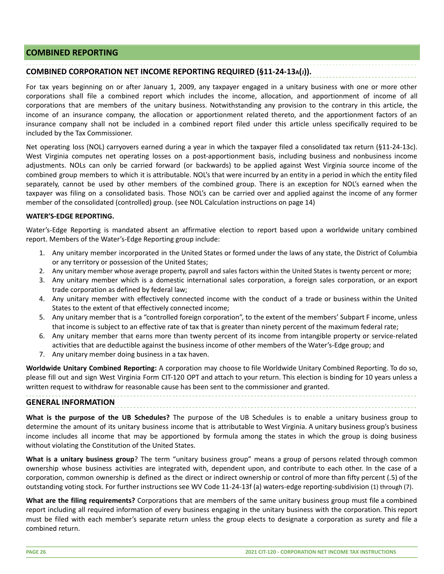# <span id="page-25-0"></span>**COMBINED REPORTING**

# **COMBINED CORPORATION NET INCOME REPORTING REQUIRED (§11-24-13A(J)).**

For tax years beginning on or after January 1, 2009, any taxpayer engaged in a unitary business with one or more other corporations shall file a combined report which includes the income, allocation, and apportionment of income of all corporations that are members of the unitary business. Notwithstanding any provision to the contrary in this article, the income of an insurance company, the allocation or apportionment related thereto, and the apportionment factors of an insurance company shall not be included in a combined report filed under this article unless specifically required to be included by the Tax Commissioner.

Net operating loss (NOL) carryovers earned during a year in which the taxpayer filed a consolidated tax return (§11-24-13c). West Virginia computes net operating losses on a post-apportionment basis, including business and nonbusiness income adjustments. NOLs can only be carried forward (or backwards) to be applied against West Virginia source income of the combined group members to which it is attributable. NOL's that were incurred by an entity in a period in which the entity filed separately, cannot be used by other members of the combined group. There is an exception for NOL's earned when the taxpayer was filing on a consolidated basis. Those NOL's can be carried over and applied against the income of any former member of the consolidated (controlled) group. (see NOL Calculation instructions on page 14)

#### **WATER'S-EDGE REPORTING.**

Water's-Edge Reporting is mandated absent an affirmative election to report based upon a worldwide unitary combined report. Members of the Water's-Edge Reporting group include:

- 1. Any unitary member incorporated in the United States or formed under the laws of any state, the District of Columbia or any territory or possession of the United States;
- 2. Any unitary member whose average property, payroll and sales factors within the United States is twenty percent or more;
- 3. Any unitary member which is a domestic international sales corporation, a foreign sales corporation, or an export trade corporation as defined by federal law;
- 4. Any unitary member with effectively connected income with the conduct of a trade or business within the United States to the extent of that effectively connected income;
- 5. Any unitary member that is a "controlled foreign corporation", to the extent of the members' Subpart F income, unless that income is subject to an effective rate of tax that is greater than ninety percent of the maximum federal rate;
- 6. Any unitary member that earns more than twenty percent of its income from intangible property or service-related activities that are deductible against the business income of other members of the Water's-Edge group; and
- 7. Any unitary member doing business in a tax haven.

**Worldwide Unitary Combined Reporting:** A corporation may choose to file Worldwide Unitary Combined Reporting. To do so, please fill out and sign West Virginia Form CIT-120 OPT and attach to your return. This election is binding for 10 years unless a written request to withdraw for reasonable cause has been sent to the commissioner and granted.

#### **GENERAL INFORMATION**

**What is the purpose of the UB Schedules?** The purpose of the UB Schedules is to enable a unitary business group to determine the amount of its unitary business income that is attributable to West Virginia. A unitary business group's business income includes all income that may be apportioned by formula among the states in which the group is doing business without violating the Constitution of the United States.

**What is a unitary business group**? The term "unitary business group" means a group of persons related through common ownership whose business activities are integrated with, dependent upon, and contribute to each other. In the case of a corporation, common ownership is defined as the direct or indirect ownership or control of more than fifty percent (.5) of the outstanding voting stock. For further instructions see WV Code 11-24-13f (a) waters-edge reporting-subdivision (1) through (7).

**What are the filing requirements?** Corporations that are members of the same unitary business group must file a combined report including all required information of every business engaging in the unitary business with the corporation. This report must be filed with each member's separate return unless the group elects to designate a corporation as surety and file a combined return.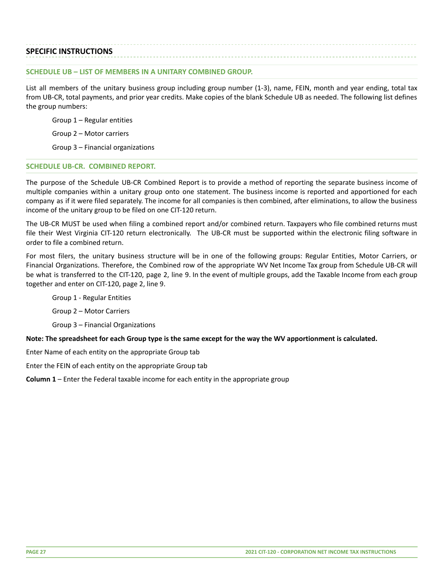#### **SPECIFIC INSTRUCTIONS**

#### **SCHEDULE UB – LIST OF MEMBERS IN A UNITARY COMBINED GROUP.**

List all members of the unitary business group including group number (1-3), name, FEIN, month and year ending, total tax from UB-CR, total payments, and prior year credits. Make copies of the blank Schedule UB as needed. The following list defines the group numbers:

Group 1 – Regular entities

Group 2 – Motor carriers

Group 3 – Financial organizations

#### **SCHEDULE UB-CR. COMBINED REPORT.**

The purpose of the Schedule UB-CR Combined Report is to provide a method of reporting the separate business income of multiple companies within a unitary group onto one statement. The business income is reported and apportioned for each company as if it were filed separately. The income for all companies is then combined, after eliminations, to allow the business income of the unitary group to be filed on one CIT-120 return.

The UB-CR MUST be used when filing a combined report and/or combined return. Taxpayers who file combined returns must file their West Virginia CIT-120 return electronically. The UB-CR must be supported within the electronic filing software in order to file a combined return.

For most filers, the unitary business structure will be in one of the following groups: Regular Entities, Motor Carriers, or Financial Organizations. Therefore, the Combined row of the appropriate WV Net Income Tax group from Schedule UB-CR will be what is transferred to the CIT-120, page 2, line 9. In the event of multiple groups, add the Taxable Income from each group together and enter on CIT-120, page 2, line 9.

Group 1 - Regular Entities

Group 2 – Motor Carriers

Group 3 – Financial Organizations

**Note: The spreadsheet for each Group type is the same except for the way the WV apportionment is calculated.**

Enter Name of each entity on the appropriate Group tab

Enter the FEIN of each entity on the appropriate Group tab

**Column 1** – Enter the Federal taxable income for each entity in the appropriate group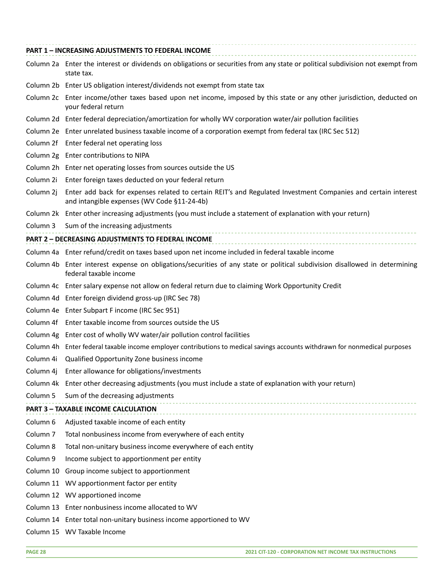|                     | PART 1 - INCREASING ADJUSTMENTS TO FEDERAL INCOME                                                                                                            |
|---------------------|--------------------------------------------------------------------------------------------------------------------------------------------------------------|
|                     | Column 2a Enter the interest or dividends on obligations or securities from any state or political subdivision not exempt from<br>state tax.                 |
|                     | Column 2b Enter US obligation interest/dividends not exempt from state tax                                                                                   |
|                     | Column 2c Enter income/other taxes based upon net income, imposed by this state or any other jurisdiction, deducted on<br>your federal return                |
|                     | Column 2d Enter federal depreciation/amortization for wholly WV corporation water/air pollution facilities                                                   |
|                     | Column 2e Enter unrelated business taxable income of a corporation exempt from federal tax (IRC Sec 512)                                                     |
|                     | Column 2f Enter federal net operating loss                                                                                                                   |
|                     | Column 2g Enter contributions to NIPA                                                                                                                        |
|                     | Column 2h Enter net operating losses from sources outside the US                                                                                             |
|                     | Column 2i Enter foreign taxes deducted on your federal return                                                                                                |
| Column 2j           | Enter add back for expenses related to certain REIT's and Regulated Investment Companies and certain interest<br>and intangible expenses (WV Code §11-24-4b) |
|                     | Column 2k Enter other increasing adjustments (you must include a statement of explanation with your return)                                                  |
|                     | Column 3 Sum of the increasing adjustments                                                                                                                   |
|                     | PART 2 - DECREASING ADJUSTMENTS TO FEDERAL INCOME                                                                                                            |
|                     | Column 4a Enter refund/credit on taxes based upon net income included in federal taxable income                                                              |
|                     | Column 4b Enter interest expense on obligations/securities of any state or political subdivision disallowed in determining<br>federal taxable income         |
|                     | Column 4c Enter salary expense not allow on federal return due to claiming Work Opportunity Credit                                                           |
|                     | Column 4d Enter foreign dividend gross-up (IRC Sec 78)                                                                                                       |
|                     | Column 4e Enter Subpart F income (IRC Sec 951)                                                                                                               |
|                     | Column 4f Enter taxable income from sources outside the US                                                                                                   |
|                     | Column 4g Enter cost of wholly WV water/air pollution control facilities                                                                                     |
|                     | Column 4h Enter federal taxable income employer contributions to medical savings accounts withdrawn for nonmedical purposes                                  |
|                     | Column 4i Qualified Opportunity Zone business income                                                                                                         |
| Column 4j           | Enter allowance for obligations/investments                                                                                                                  |
|                     | Column 4k Enter other decreasing adjustments (you must include a state of explanation with your return)                                                      |
| Column 5            | Sum of the decreasing adjustments                                                                                                                            |
|                     | <b>PART 3 - TAXABLE INCOME CALCULATION</b>                                                                                                                   |
| Column 6            | Adjusted taxable income of each entity                                                                                                                       |
| Column <sub>7</sub> | Total nonbusiness income from everywhere of each entity                                                                                                      |
| Column 8            | Total non-unitary business income everywhere of each entity                                                                                                  |
| Column 9            | Income subject to apportionment per entity                                                                                                                   |
|                     | Column 10 Group income subject to apportionment                                                                                                              |
|                     | Column 11 WV apportionment factor per entity                                                                                                                 |
|                     | Column 12 WV apportioned income                                                                                                                              |
|                     | Column 13 Enter nonbusiness income allocated to WV                                                                                                           |
|                     | Column 14 Enter total non-unitary business income apportioned to WV                                                                                          |
|                     | Column 15 WV Taxable Income                                                                                                                                  |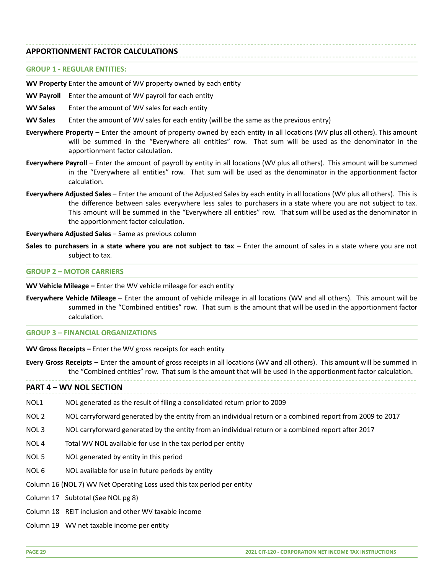#### **APPORTIONMENT FACTOR CALCULATIONS**

#### **GROUP 1 - REGULAR ENTITIES:**

**WV Property** Enter the amount of WV property owned by each entity

- **WV Payroll** Enter the amount of WV payroll for each entity
- **WV Sales** Enter the amount of WV sales for each entity
- **WV Sales** Enter the amount of WV sales for each entity (will be the same as the previous entry)
- **Everywhere Property** Enter the amount of property owned by each entity in all locations (WV plus all others). This amount will be summed in the "Everywhere all entities" row. That sum will be used as the denominator in the apportionment factor calculation.
- **Everywhere Payroll** Enter the amount of payroll by entity in all locations (WV plus all others). This amount will be summed in the "Everywhere all entities" row. That sum will be used as the denominator in the apportionment factor calculation.
- **Everywhere Adjusted Sales** Enter the amount of the Adjusted Sales by each entity in all locations (WV plus all others). This is the difference between sales everywhere less sales to purchasers in a state where you are not subject to tax. This amount will be summed in the "Everywhere all entities" row. That sum will be used as the denominator in the apportionment factor calculation.
- **Everywhere Adjusted Sales** Same as previous column
- **Sales to purchasers in a state where you are not subject to tax –** Enter the amount of sales in a state where you are not subject to tax.

#### **GROUP 2 – MOTOR CARRIERS**

**WV Vehicle Mileage –** Enter the WV vehicle mileage for each entity

**Everywhere Vehicle Mileage** – Enter the amount of vehicle mileage in all locations (WV and all others). This amount will be summed in the "Combined entities" row. That sum is the amount that will be used in the apportionment factor calculation.

#### **GROUP 3 – FINANCIAL ORGANIZATIONS**

**WV Gross Receipts –** Enter the WV gross receipts for each entity

**Every Gross Receipts** – Enter the amount of gross receipts in all locations (WV and all others). This amount will be summed in the "Combined entities" row. That sum is the amount that will be used in the apportionment factor calculation.

**PART 4 – WV NOL SECTION**

- NOL1 NOL generated as the result of filing a consolidated return prior to 2009
- NOL 2 NOL carryforward generated by the entity from an individual return or a combined report from 2009 to 2017
- NOL 3 NOL carryforward generated by the entity from an individual return or a combined report after 2017
- NOL 4 Total WV NOL available for use in the tax period per entity
- NOL 5 NOL generated by entity in this period
- NOL 6 NOL available for use in future periods by entity

Column 16 (NOL 7) WV Net Operating Loss used this tax period per entity

- Column 17 Subtotal (See NOL pg 8)
- Column 18 REIT inclusion and other WV taxable income
- Column 19 WV net taxable income per entity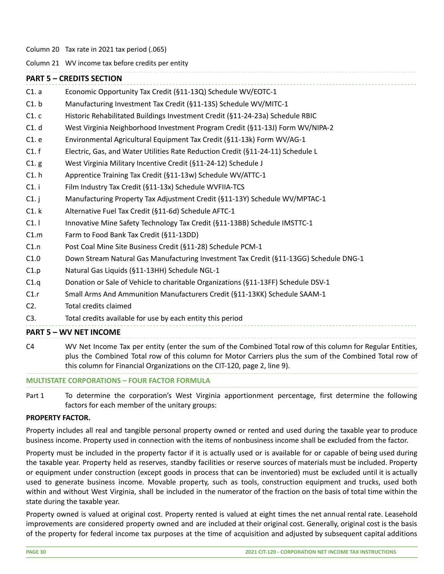Column 20 Tax rate in 2021 tax period (.065)

Column 21 WV income tax before credits per entity

# **PART 5 – CREDITS SECTION** C1. a Economic Opportunity Tax Credit (§11-13Q) Schedule WV/EOTC-1 C1. b Manufacturing Investment Tax Credit (§11-13S) Schedule WV/MITC-1 C1. c Historic Rehabilitated Buildings Investment Credit (§11-24-23a) Schedule RBIC C1. d West Virginia Neighborhood Investment Program Credit (§11-13J) Form WV/NIPA-2 C1. e Environmental Agricultural Equipment Tax Credit (§11-13k) Form WV/AG-1 C1. f Electric, Gas, and Water Utilities Rate Reduction Credit (§11-24-11) Schedule L C1. g West Virginia Military Incentive Credit (§11-24-12) Schedule J C1. h Apprentice Training Tax Credit (§11-13w) Schedule WV/ATTC-1 C1. i Film Industry Tax Credit (§11-13x) Schedule WVFIIA-TCS C1. j Manufacturing Property Tax Adjustment Credit (§11-13Y) Schedule WV/MPTAC-1 C1. k Alternative Fuel Tax Credit (§11-6d) Schedule AFTC-1 C1. l Innovative Mine Safety Technology Tax Credit (§11-13BB) Schedule IMSTTC-1 C1.m Farm to Food Bank Tax Credit (§11-13DD) C1.n Post Coal Mine Site Business Credit (§11-28) Schedule PCM-1 C1.0 Down Stream Natural Gas Manufacturing Investment Tax Credit (§11-13GG) Schedule DNG-1 C1.p Natural Gas Liquids (§11-13HH) Schedule NGL-1 C1.q Donation or Sale of Vehicle to charitable Organizations (§11-13FF) Schedule DSV-1 C1.r Small Arms And Ammunition Manufacturers Credit (§11-13KK) Schedule SAAM-1 C2. Total credits claimed C3. Total credits available for use by each entity this period **PART 5 – WV NET INCOME**

C4 WV Net Income Tax per entity (enter the sum of the Combined Total row of this column for Regular Entities, plus the Combined Total row of this column for Motor Carriers plus the sum of the Combined Total row of this column for Financial Organizations on the CIT-120, page 2, line 9).

#### **MULTISTATE CORPORATIONS – FOUR FACTOR FORMULA**

Part 1 To determine the corporation's West Virginia apportionment percentage, first determine the following factors for each member of the unitary groups:

#### **PROPERTY FACTOR.**

Property includes all real and tangible personal property owned or rented and used during the taxable year to produce business income. Property used in connection with the items of nonbusiness income shall be excluded from the factor.

Property must be included in the property factor if it is actually used or is available for or capable of being used during the taxable year. Property held as reserves, standby facilities or reserve sources of materials must be included. Property or equipment under construction (except goods in process that can be inventoried) must be excluded until it is actually used to generate business income. Movable property, such as tools, construction equipment and trucks, used both within and without West Virginia, shall be included in the numerator of the fraction on the basis of total time within the state during the taxable year.

Property owned is valued at original cost. Property rented is valued at eight times the net annual rental rate. Leasehold improvements are considered property owned and are included at their original cost. Generally, original cost is the basis of the property for federal income tax purposes at the time of acquisition and adjusted by subsequent capital additions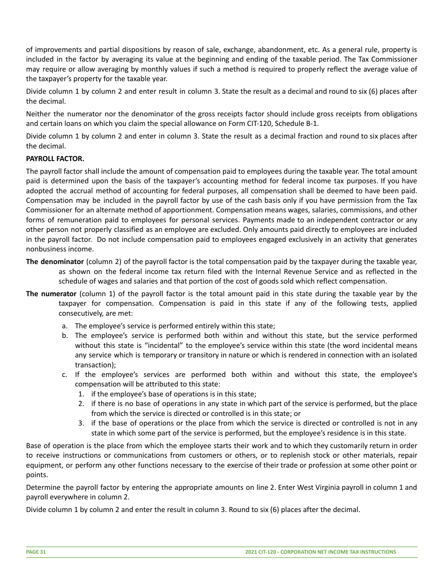of improvements and partial dispositions by reason of sale, exchange, abandonment, etc. As a general rule, property is included in the factor by averaging its value at the beginning and ending of the taxable period. The Tax Commissioner may require or allow averaging by monthly values if such a method is required to properly reflect the average value of the taxpayer's property for the taxable year.

Divide column 1 by column 2 and enter result in column 3. State the result as a decimal and round to six (6) places after the decimal.

Neither the numerator nor the denominator of the gross receipts factor should include gross receipts from obligations and certain loans on which you claim the special allowance on Form CIT-120, Schedule B-1.

Divide column 1 by column 2 and enter in column 3. State the result as a decimal fraction and round to six places after the decimal.

#### **PAYROLL FACTOR.**

The payroll factor shall include the amount of compensation paid to employees during the taxable year. The total amount paid is determined upon the basis of the taxpayer's accounting method for federal income tax purposes. If you have adopted the accrual method of accounting for federal purposes, all compensation shall be deemed to have been paid. Compensation may be included in the payroll factor by use of the cash basis only if you have permission from the Tax Commissioner for an alternate method of apportionment. Compensation means wages, salaries, commissions, and other forms of remuneration paid to employees for personal services. Payments made to an independent contractor or any other person not properly classified as an employee are excluded. Only amounts paid directly to employees are included in the payroll factor. Do not include compensation paid to employees engaged exclusively in an activity that generates nonbusiness income.

- **The denominator** (column 2) of the payroll factor is the total compensation paid by the taxpayer during the taxable year, as shown on the federal income tax return filed with the Internal Revenue Service and as reflected in the schedule of wages and salaries and that portion of the cost of goods sold which reflect compensation.
- **The numerator** (column 1) of the payroll factor is the total amount paid in this state during the taxable year by the taxpayer for compensation. Compensation is paid in this state if any of the following tests, applied consecutively, are met:
	- a. The employee's service is performed entirely within this state;
	- b. The employee's service is performed both within and without this state, but the service performed without this state is "incidental" to the employee's service within this state (the word incidental means any service which is temporary or transitory in nature or which is rendered in connection with an isolated transaction);
	- c. If the employee's services are performed both within and without this state, the employee's compensation will be attributed to this state:
		- 1. if the employee's base of operations is in this state;
		- 2. if there is no base of operations in any state in which part of the service is performed, but the place from which the service is directed or controlled is in this state; or
		- 3. if the base of operations or the place from which the service is directed or controlled is not in any state in which some part of the service is performed, but the employee's residence is in this state.

Base of operation is the place from which the employee starts their work and to which they customarily return in order to receive instructions or communications from customers or others, or to replenish stock or other materials, repair equipment, or perform any other functions necessary to the exercise of their trade or profession at some other point or points.

Determine the payroll factor by entering the appropriate amounts on line 2. Enter West Virginia payroll in column 1 and payroll everywhere in column 2.

Divide column 1 by column 2 and enter the result in column 3. Round to six (6) places after the decimal.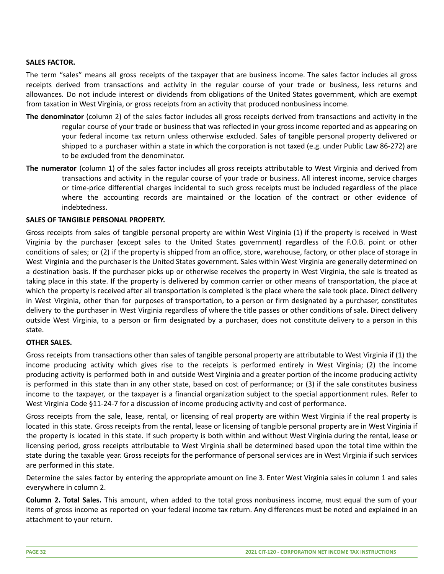## **SALES FACTOR.**

The term "sales" means all gross receipts of the taxpayer that are business income. The sales factor includes all gross receipts derived from transactions and activity in the regular course of your trade or business, less returns and allowances. Do not include interest or dividends from obligations of the United States government, which are exempt from taxation in West Virginia, or gross receipts from an activity that produced nonbusiness income.

- **The denominator** (column 2) of the sales factor includes all gross receipts derived from transactions and activity in the regular course of your trade or business that was reflected in your gross income reported and as appearing on your federal income tax return unless otherwise excluded. Sales of tangible personal property delivered or shipped to a purchaser within a state in which the corporation is not taxed (e.g. under Public Law 86-272) are to be excluded from the denominator.
- **The numerator** (column 1) of the sales factor includes all gross receipts attributable to West Virginia and derived from transactions and activity in the regular course of your trade or business. All interest income, service charges or time-price differential charges incidental to such gross receipts must be included regardless of the place where the accounting records are maintained or the location of the contract or other evidence of indebtedness.

#### **SALES OF TANGIBLE PERSONAL PROPERTY.**

Gross receipts from sales of tangible personal property are within West Virginia (1) if the property is received in West Virginia by the purchaser (except sales to the United States government) regardless of the F.O.B. point or other conditions of sales; or (2) if the property is shipped from an office, store, warehouse, factory, or other place of storage in West Virginia and the purchaser is the United States government. Sales within West Virginia are generally determined on a destination basis. If the purchaser picks up or otherwise receives the property in West Virginia, the sale is treated as taking place in this state. If the property is delivered by common carrier or other means of transportation, the place at which the property is received after all transportation is completed is the place where the sale took place. Direct delivery in West Virginia, other than for purposes of transportation, to a person or firm designated by a purchaser, constitutes delivery to the purchaser in West Virginia regardless of where the title passes or other conditions of sale. Direct delivery outside West Virginia, to a person or firm designated by a purchaser, does not constitute delivery to a person in this state.

#### **OTHER SALES.**

Gross receipts from transactions other than sales of tangible personal property are attributable to West Virginia if (1) the income producing activity which gives rise to the receipts is performed entirely in West Virginia; (2) the income producing activity is performed both in and outside West Virginia and a greater portion of the income producing activity is performed in this state than in any other state, based on cost of performance; or (3) if the sale constitutes business income to the taxpayer, or the taxpayer is a financial organization subject to the special apportionment rules. Refer to West Virginia Code §11-24-7 for a discussion of income producing activity and cost of performance.

Gross receipts from the sale, lease, rental, or licensing of real property are within West Virginia if the real property is located in this state. Gross receipts from the rental, lease or licensing of tangible personal property are in West Virginia if the property is located in this state. If such property is both within and without West Virginia during the rental, lease or licensing period, gross receipts attributable to West Virginia shall be determined based upon the total time within the state during the taxable year. Gross receipts for the performance of personal services are in West Virginia if such services are performed in this state.

Determine the sales factor by entering the appropriate amount on line 3. Enter West Virginia sales in column 1 and sales everywhere in column 2.

**Column 2. Total Sales.** This amount, when added to the total gross nonbusiness income, must equal the sum of your items of gross income as reported on your federal income tax return. Any differences must be noted and explained in an attachment to your return.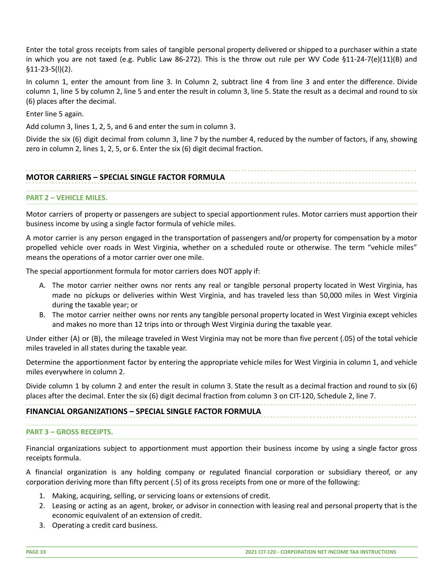Enter the total gross receipts from sales of tangible personal property delivered or shipped to a purchaser within a state in which you are not taxed (e.g. Public Law 86-272). This is the throw out rule per WV Code §11-24-7(e)(11)(B) and §11-23-5(l)(2).

In column 1, enter the amount from line 3. In Column 2, subtract line 4 from line 3 and enter the difference. Divide column 1, line 5 by column 2, line 5 and enter the result in column 3, line 5. State the result as a decimal and round to six (6) places after the decimal.

Enter line 5 again.

Add column 3, lines 1, 2, 5, and 6 and enter the sum in column 3.

Divide the six (6) digit decimal from column 3, line 7 by the number 4, reduced by the number of factors, if any, showing zero in column 2, lines 1, 2, 5, or 6. Enter the six (6) digit decimal fraction.

# **MOTOR CARRIERS – SPECIAL SINGLE FACTOR FORMULA**

#### **PART 2 – VEHICLE MILES.**

Motor carriers of property or passengers are subject to special apportionment rules. Motor carriers must apportion their business income by using a single factor formula of vehicle miles.

A motor carrier is any person engaged in the transportation of passengers and/or property for compensation by a motor propelled vehicle over roads in West Virginia, whether on a scheduled route or otherwise. The term "vehicle miles" means the operations of a motor carrier over one mile.

The special apportionment formula for motor carriers does NOT apply if:

- A. The motor carrier neither owns nor rents any real or tangible personal property located in West Virginia, has made no pickups or deliveries within West Virginia, and has traveled less than 50,000 miles in West Virginia during the taxable year; or
- B. The motor carrier neither owns nor rents any tangible personal property located in West Virginia except vehicles and makes no more than 12 trips into or through West Virginia during the taxable year.

Under either (A) or (B), the mileage traveled in West Virginia may not be more than five percent (.05) of the total vehicle miles traveled in all states during the taxable year.

Determine the apportionment factor by entering the appropriate vehicle miles for West Virginia in column 1, and vehicle miles everywhere in column 2.

Divide column 1 by column 2 and enter the result in column 3. State the result as a decimal fraction and round to six (6) places after the decimal. Enter the six (6) digit decimal fraction from column 3 on CIT-120, Schedule 2, line 7.

# **FINANCIAL ORGANIZATIONS – SPECIAL SINGLE FACTOR FORMULA**

#### **PART 3 – GROSS RECEIPTS.**

Financial organizations subject to apportionment must apportion their business income by using a single factor gross receipts formula.

A financial organization is any holding company or regulated financial corporation or subsidiary thereof, or any corporation deriving more than fifty percent (.5) of its gross receipts from one or more of the following:

- 1. Making, acquiring, selling, or servicing loans or extensions of credit.
- 2. Leasing or acting as an agent, broker, or advisor in connection with leasing real and personal property that is the economic equivalent of an extension of credit.
- 3. Operating a credit card business.